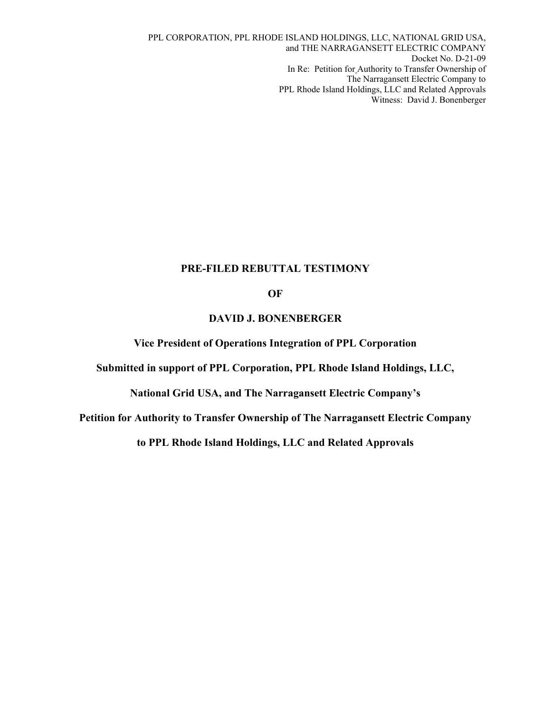PPL CORPORATION, PPL RHODE ISLAND HOLDINGS, LLC, NATIONAL GRID USA, and THE NARRAGANSETT ELECTRIC COMPANY Docket No. D-21-09 In Re: Petition for Authority to Transfer Ownership of The Narragansett Electric Company to PPL Rhode Island Holdings, LLC and Related Approvals Witness: David J. Bonenberger

#### **PRE-FILED REBUTTAL TESTIMONY**

#### **OF**

#### **DAVID J. BONENBERGER**

**Vice President of Operations Integration of PPL Corporation** 

**Submitted in support of PPL Corporation, PPL Rhode Island Holdings, LLC,** 

**National Grid USA, and The Narragansett Electric Company's** 

**Petition for Authority to Transfer Ownership of The Narragansett Electric Company** 

**to PPL Rhode Island Holdings, LLC and Related Approvals**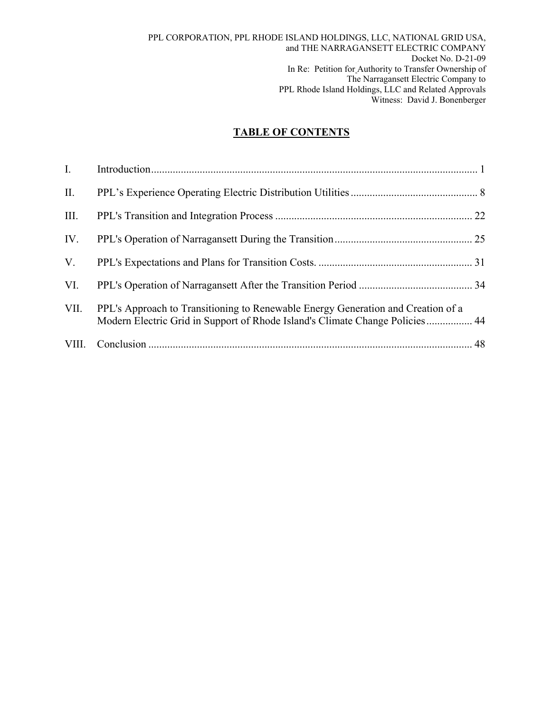## **TABLE OF CONTENTS**

| I.   |                                                                                                                                                                  |  |
|------|------------------------------------------------------------------------------------------------------------------------------------------------------------------|--|
| II.  |                                                                                                                                                                  |  |
| Ш.   |                                                                                                                                                                  |  |
| IV.  |                                                                                                                                                                  |  |
| V.   |                                                                                                                                                                  |  |
| VI.  |                                                                                                                                                                  |  |
| VII. | PPL's Approach to Transitioning to Renewable Energy Generation and Creation of a<br>Modern Electric Grid in Support of Rhode Island's Climate Change Policies 44 |  |
|      |                                                                                                                                                                  |  |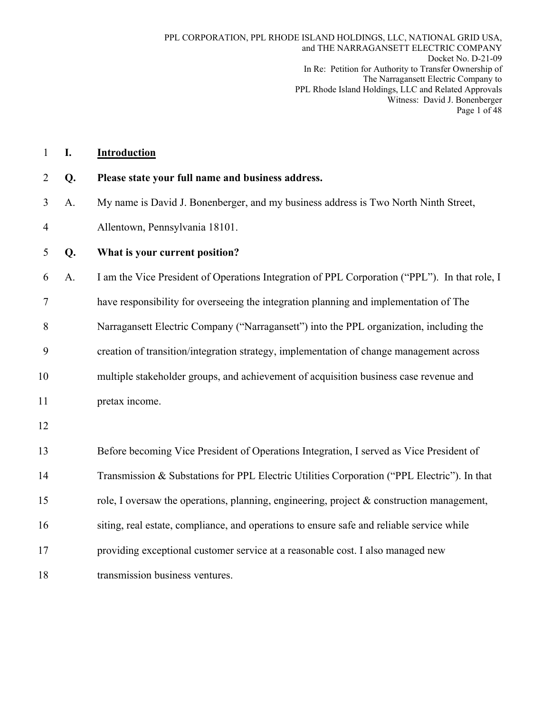| $\mathbf{1}$   | I. | <b>Introduction</b>                                                                           |
|----------------|----|-----------------------------------------------------------------------------------------------|
| $\overline{2}$ | Q. | Please state your full name and business address.                                             |
| 3              | A. | My name is David J. Bonenberger, and my business address is Two North Ninth Street,           |
| $\overline{4}$ |    | Allentown, Pennsylvania 18101.                                                                |
| 5              | Q. | What is your current position?                                                                |
| 6              | A. | I am the Vice President of Operations Integration of PPL Corporation ("PPL"). In that role, I |
| 7              |    | have responsibility for overseeing the integration planning and implementation of The         |
| 8              |    | Narragansett Electric Company ("Narragansett") into the PPL organization, including the       |
| 9              |    | creation of transition/integration strategy, implementation of change management across       |
| 10             |    | multiple stakeholder groups, and achievement of acquisition business case revenue and         |
| 11             |    | pretax income.                                                                                |
| 12             |    |                                                                                               |
| 13             |    | Before becoming Vice President of Operations Integration, I served as Vice President of       |
| 14             |    | Transmission & Substations for PPL Electric Utilities Corporation ("PPL Electric"). In that   |
| 15             |    | role, I oversaw the operations, planning, engineering, project $\&$ construction management,  |
| 16             |    | siting, real estate, compliance, and operations to ensure safe and reliable service while     |
| 17             |    | providing exceptional customer service at a reasonable cost. I also managed new               |
| 18             |    | transmission business ventures.                                                               |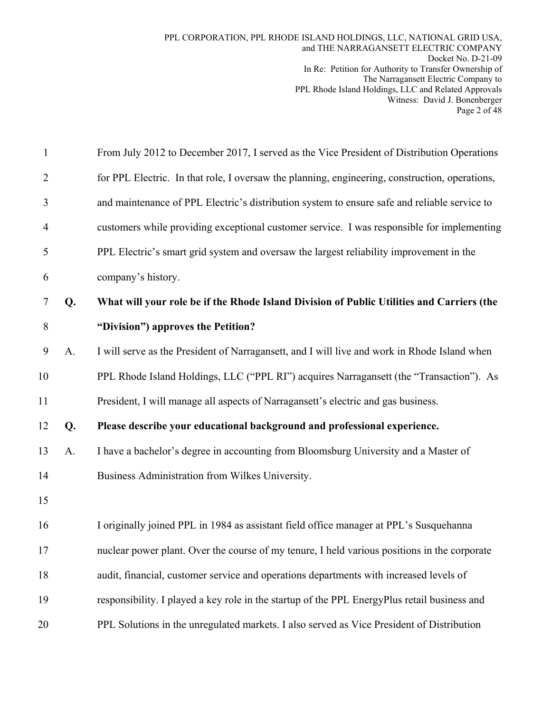| $\mathbf{1}$   |    | From July 2012 to December 2017, I served as the Vice President of Distribution Operations     |
|----------------|----|------------------------------------------------------------------------------------------------|
| $\overline{2}$ |    | for PPL Electric. In that role, I oversaw the planning, engineering, construction, operations, |
| 3              |    | and maintenance of PPL Electric's distribution system to ensure safe and reliable service to   |
| $\overline{4}$ |    | customers while providing exceptional customer service. I was responsible for implementing     |
| 5              |    | PPL Electric's smart grid system and oversaw the largest reliability improvement in the        |
| 6              |    | company's history.                                                                             |
| 7              | Q. | What will your role be if the Rhode Island Division of Public Utilities and Carriers (the      |
| 8              |    | "Division") approves the Petition?                                                             |
| 9              | A. | I will serve as the President of Narragansett, and I will live and work in Rhode Island when   |
| 10             |    | PPL Rhode Island Holdings, LLC ("PPL RI") acquires Narragansett (the "Transaction"). As        |
| 11             |    | President, I will manage all aspects of Narragansett's electric and gas business.              |
| 12             | Q. | Please describe your educational background and professional experience.                       |
| 13             | A. | I have a bachelor's degree in accounting from Bloomsburg University and a Master of            |
| 14             |    | Business Administration from Wilkes University.                                                |
| 15             |    |                                                                                                |
| 16             |    | I originally joined PPL in 1984 as assistant field office manager at PPL's Susquehanna         |
| 17             |    | nuclear power plant. Over the course of my tenure, I held various positions in the corporate   |
| 18             |    | audit, financial, customer service and operations departments with increased levels of         |
| 19             |    | responsibility. I played a key role in the startup of the PPL EnergyPlus retail business and   |
| 20             |    | PPL Solutions in the unregulated markets. I also served as Vice President of Distribution      |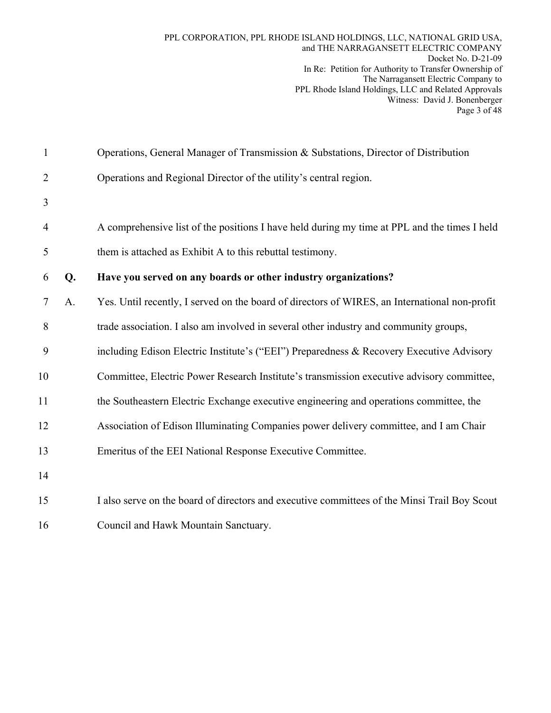| $\mathbf{1}$   |    | Operations, General Manager of Transmission & Substations, Director of Distribution           |
|----------------|----|-----------------------------------------------------------------------------------------------|
| $\overline{2}$ |    | Operations and Regional Director of the utility's central region.                             |
| 3              |    |                                                                                               |
| $\overline{4}$ |    | A comprehensive list of the positions I have held during my time at PPL and the times I held  |
| 5              |    | them is attached as Exhibit A to this rebuttal testimony.                                     |
| 6              | Q. | Have you served on any boards or other industry organizations?                                |
| 7              | A. | Yes. Until recently, I served on the board of directors of WIRES, an International non-profit |
| 8              |    | trade association. I also am involved in several other industry and community groups,         |
| 9              |    | including Edison Electric Institute's ("EEI") Preparedness & Recovery Executive Advisory      |
| 10             |    | Committee, Electric Power Research Institute's transmission executive advisory committee,     |
| 11             |    | the Southeastern Electric Exchange executive engineering and operations committee, the        |
| 12             |    | Association of Edison Illuminating Companies power delivery committee, and I am Chair         |
| 13             |    | Emeritus of the EEI National Response Executive Committee.                                    |
| 14             |    |                                                                                               |
| 15             |    | I also serve on the board of directors and executive committees of the Minsi Trail Boy Scout  |
|                |    |                                                                                               |

16 Council and Hawk Mountain Sanctuary.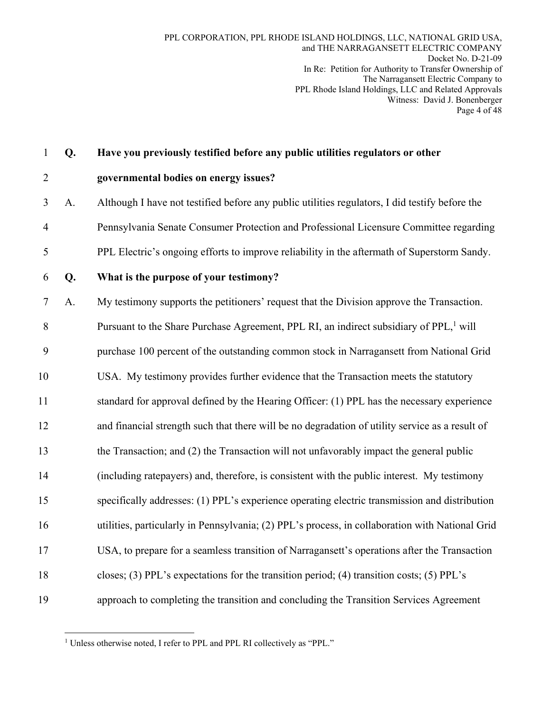1 **Q. Have you previously testified before any public utilities regulators or other** 

#### 2 **governmental bodies on energy issues?**

- 3 A. Although I have not testified before any public utilities regulators, I did testify before the 4 Pennsylvania Senate Consumer Protection and Professional Licensure Committee regarding 5 PPL Electric's ongoing efforts to improve reliability in the aftermath of Superstorm Sandy.
- 

### 6 **Q. What is the purpose of your testimony?**

7 A. My testimony supports the petitioners' request that the Division approve the Transaction.

8 Pursuant to the Share Purchase Agreement, PPL RI, an indirect subsidiary of  $PPL<sup>1</sup>$  will

9 purchase 100 percent of the outstanding common stock in Narragansett from National Grid

10 USA. My testimony provides further evidence that the Transaction meets the statutory

11 standard for approval defined by the Hearing Officer: (1) PPL has the necessary experience

12 and financial strength such that there will be no degradation of utility service as a result of

- 13 the Transaction; and (2) the Transaction will not unfavorably impact the general public
- 14 (including ratepayers) and, therefore, is consistent with the public interest. My testimony

15 specifically addresses: (1) PPL's experience operating electric transmission and distribution

16 utilities, particularly in Pennsylvania; (2) PPL's process, in collaboration with National Grid

17 USA, to prepare for a seamless transition of Narragansett's operations after the Transaction

- 18 closes; (3) PPL's expectations for the transition period; (4) transition costs; (5) PPL's
- 19 approach to completing the transition and concluding the Transition Services Agreement

<sup>1</sup> <sup>1</sup> Unless otherwise noted, I refer to PPL and PPL RI collectively as "PPL."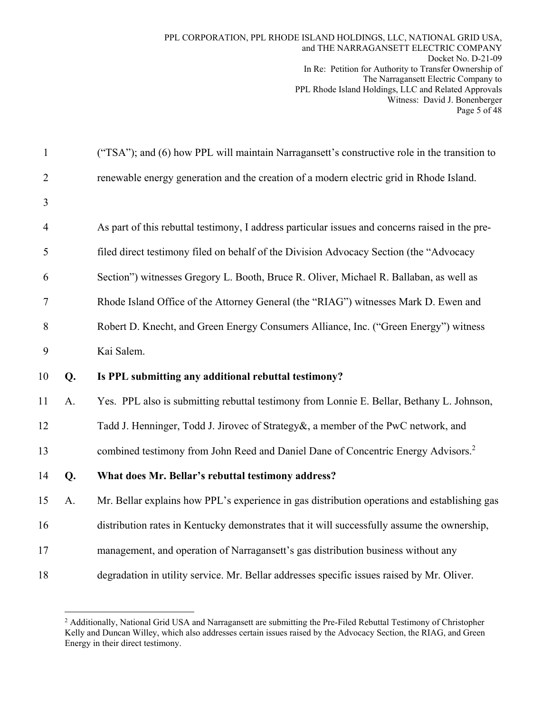| $\mathbf{1}$   |    | ("TSA"); and (6) how PPL will maintain Narragansett's constructive role in the transition to    |
|----------------|----|-------------------------------------------------------------------------------------------------|
| $\overline{2}$ |    | renewable energy generation and the creation of a modern electric grid in Rhode Island.         |
| 3              |    |                                                                                                 |
| $\overline{4}$ |    | As part of this rebuttal testimony, I address particular issues and concerns raised in the pre- |
| 5              |    | filed direct testimony filed on behalf of the Division Advocacy Section (the "Advocacy          |
| 6              |    | Section") witnesses Gregory L. Booth, Bruce R. Oliver, Michael R. Ballaban, as well as          |
| 7              |    | Rhode Island Office of the Attorney General (the "RIAG") witnesses Mark D. Ewen and             |
| 8              |    | Robert D. Knecht, and Green Energy Consumers Alliance, Inc. ("Green Energy") witness            |
| 9              |    | Kai Salem.                                                                                      |
|                |    |                                                                                                 |
| 10             | Q. | Is PPL submitting any additional rebuttal testimony?                                            |
| 11             | A. | Yes. PPL also is submitting rebuttal testimony from Lonnie E. Bellar, Bethany L. Johnson,       |
| 12             |    | Tadd J. Henninger, Todd J. Jirovec of Strategy&, a member of the PwC network, and               |
| 13             |    | combined testimony from John Reed and Daniel Dane of Concentric Energy Advisors. <sup>2</sup>   |
| 14             | Q. | What does Mr. Bellar's rebuttal testimony address?                                              |
| 15             | A. | Mr. Bellar explains how PPL's experience in gas distribution operations and establishing gas    |
| 16             |    | distribution rates in Kentucky demonstrates that it will successfully assume the ownership,     |
| 17             |    | management, and operation of Narragansett's gas distribution business without any               |

<sup>&</sup>lt;sup>2</sup> Additionally, National Grid USA and Narragansett are submitting the Pre-Filed Rebuttal Testimony of Christopher Kelly and Duncan Willey, which also addresses certain issues raised by the Advocacy Section, the RIAG, and Green Energy in their direct testimony.

 $\overline{a}$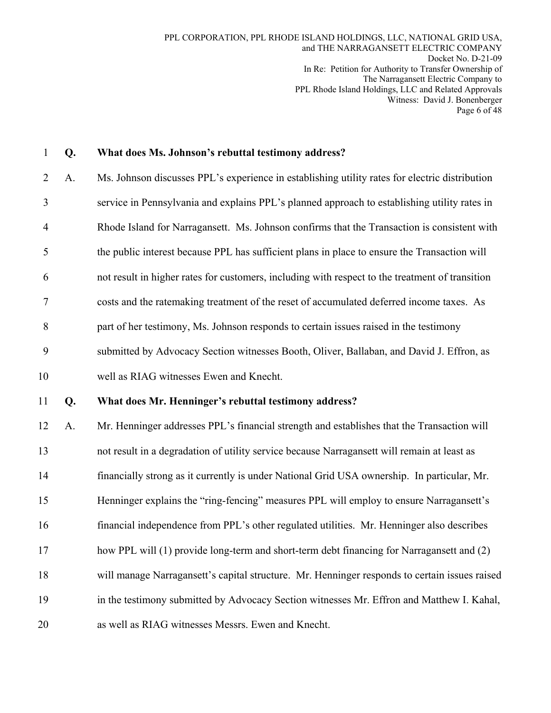| $\mathbf{1}$   | Q. | What does Ms. Johnson's rebuttal testimony address?                                             |
|----------------|----|-------------------------------------------------------------------------------------------------|
| 2              | A. | Ms. Johnson discusses PPL's experience in establishing utility rates for electric distribution  |
| 3              |    | service in Pennsylvania and explains PPL's planned approach to establishing utility rates in    |
| $\overline{4}$ |    | Rhode Island for Narragansett. Ms. Johnson confirms that the Transaction is consistent with     |
| 5              |    | the public interest because PPL has sufficient plans in place to ensure the Transaction will    |
| 6              |    | not result in higher rates for customers, including with respect to the treatment of transition |
| 7              |    | costs and the ratemaking treatment of the reset of accumulated deferred income taxes. As        |
| 8              |    | part of her testimony, Ms. Johnson responds to certain issues raised in the testimony           |
| 9              |    | submitted by Advocacy Section witnesses Booth, Oliver, Ballaban, and David J. Effron, as        |
| 10             |    | well as RIAG witnesses Ewen and Knecht.                                                         |
|                |    |                                                                                                 |
| 11             | Q. | What does Mr. Henninger's rebuttal testimony address?                                           |
| 12             | A. | Mr. Henninger addresses PPL's financial strength and establishes that the Transaction will      |
| 13             |    | not result in a degradation of utility service because Narragansett will remain at least as     |
| 14             |    | financially strong as it currently is under National Grid USA ownership. In particular, Mr.     |
| 15             |    | Henninger explains the "ring-fencing" measures PPL will employ to ensure Narragansett's         |
| 16             |    | financial independence from PPL's other regulated utilities. Mr. Henninger also describes       |
| 17             |    | how PPL will (1) provide long-term and short-term debt financing for Narragansett and (2)       |
| 18             |    | will manage Narragansett's capital structure. Mr. Henninger responds to certain issues raised   |
| 19             |    | in the testimony submitted by Advocacy Section witnesses Mr. Effron and Matthew I. Kahal,       |
| 20             |    | as well as RIAG witnesses Messrs. Ewen and Knecht.                                              |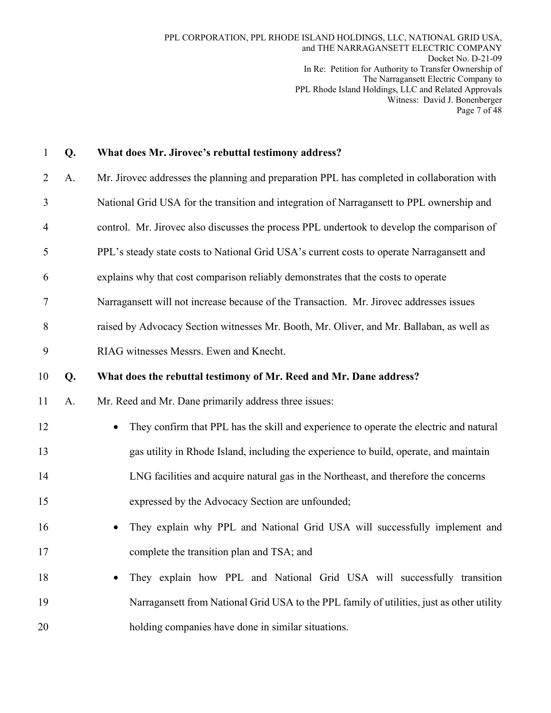| $\mathbf{1}$   | Q. | What does Mr. Jirovec's rebuttal testimony address?                                                 |
|----------------|----|-----------------------------------------------------------------------------------------------------|
| 2              | A. | Mr. Jirovec addresses the planning and preparation PPL has completed in collaboration with          |
| 3              |    | National Grid USA for the transition and integration of Narragansett to PPL ownership and           |
| $\overline{4}$ |    | control. Mr. Jirovec also discusses the process PPL undertook to develop the comparison of          |
| 5              |    | PPL's steady state costs to National Grid USA's current costs to operate Narragansett and           |
| 6              |    | explains why that cost comparison reliably demonstrates that the costs to operate                   |
| 7              |    | Narragansett will not increase because of the Transaction. Mr. Jirovec addresses issues             |
| 8              |    | raised by Advocacy Section witnesses Mr. Booth, Mr. Oliver, and Mr. Ballaban, as well as            |
| 9              |    | RIAG witnesses Messrs. Ewen and Knecht.                                                             |
| 10             | Q. | What does the rebuttal testimony of Mr. Reed and Mr. Dane address?                                  |
| 11             | A. | Mr. Reed and Mr. Dane primarily address three issues:                                               |
| 12             |    | They confirm that PPL has the skill and experience to operate the electric and natural<br>$\bullet$ |
| 13             |    | gas utility in Rhode Island, including the experience to build, operate, and maintain               |
| 14             |    | LNG facilities and acquire natural gas in the Northeast, and therefore the concerns                 |
| 15             |    | expressed by the Advocacy Section are unfounded;                                                    |
| 16             |    | They explain why PPL and National Grid USA will successfully implement and                          |
| 17             |    | complete the transition plan and TSA; and                                                           |
| 18             |    | They explain how PPL and National Grid USA will successfully transition<br>$\bullet$                |
| 19             |    | Narragansett from National Grid USA to the PPL family of utilities, just as other utility           |
| 20             |    | holding companies have done in similar situations.                                                  |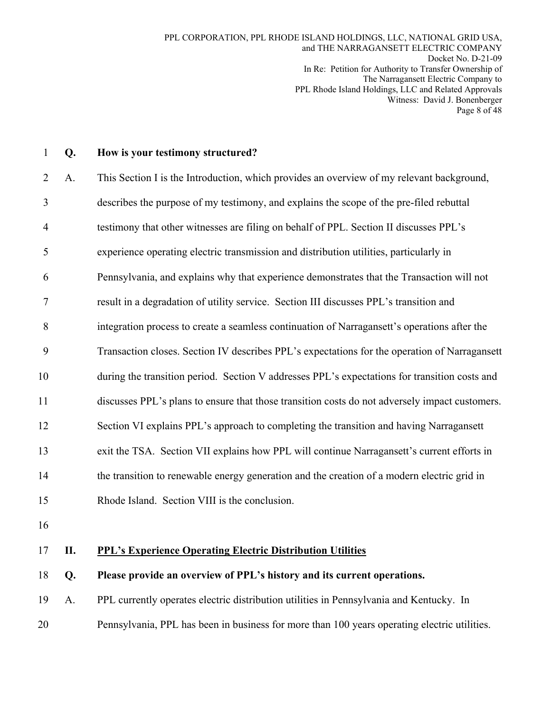| Q. | How is your testimony structured?                                                              |
|----|------------------------------------------------------------------------------------------------|
| A. | This Section I is the Introduction, which provides an overview of my relevant background,      |
|    | describes the purpose of my testimony, and explains the scope of the pre-filed rebuttal        |
|    | testimony that other witnesses are filing on behalf of PPL. Section II discusses PPL's         |
|    | experience operating electric transmission and distribution utilities, particularly in         |
|    | Pennsylvania, and explains why that experience demonstrates that the Transaction will not      |
|    | result in a degradation of utility service. Section III discusses PPL's transition and         |
|    | integration process to create a seamless continuation of Narragansett's operations after the   |
|    | Transaction closes. Section IV describes PPL's expectations for the operation of Narragansett  |
|    | during the transition period. Section V addresses PPL's expectations for transition costs and  |
|    | discusses PPL's plans to ensure that those transition costs do not adversely impact customers. |
|    | Section VI explains PPL's approach to completing the transition and having Narragansett        |
|    | exit the TSA. Section VII explains how PPL will continue Narragansett's current efforts in     |
|    | the transition to renewable energy generation and the creation of a modern electric grid in    |
|    | Rhode Island. Section VIII is the conclusion.                                                  |
|    |                                                                                                |
|    |                                                                                                |

## 17 **II. PPL's Experience Operating Electric Distribution Utilities**

#### 18 **Q. Please provide an overview of PPL's history and its current operations.**

- 19 A. PPL currently operates electric distribution utilities in Pennsylvania and Kentucky. In
- 20 Pennsylvania, PPL has been in business for more than 100 years operating electric utilities.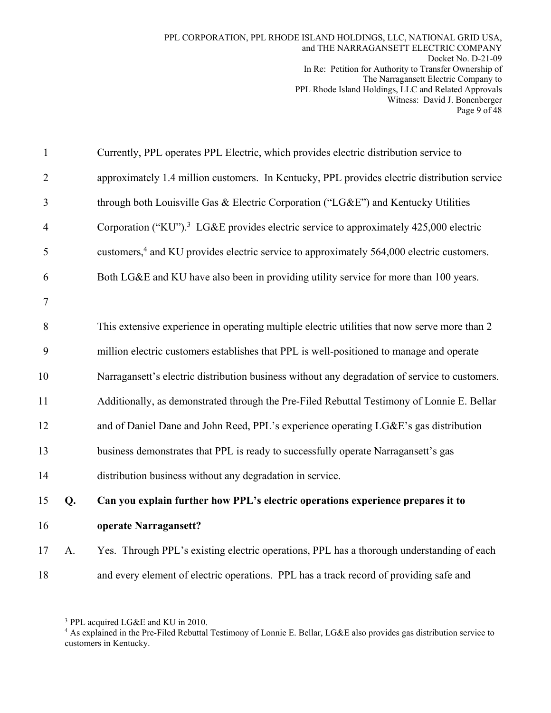| $\mathbf{1}$   |    | Currently, PPL operates PPL Electric, which provides electric distribution service to                 |
|----------------|----|-------------------------------------------------------------------------------------------------------|
| $\overline{2}$ |    | approximately 1.4 million customers. In Kentucky, PPL provides electric distribution service          |
| 3              |    | through both Louisville Gas & Electric Corporation ("LG&E") and Kentucky Utilities                    |
| $\overline{4}$ |    | Corporation ("KU"). <sup>3</sup> LG&E provides electric service to approximately 425,000 electric     |
| 5              |    | customers, <sup>4</sup> and KU provides electric service to approximately 564,000 electric customers. |
| 6              |    | Both LG&E and KU have also been in providing utility service for more than 100 years.                 |
| $\tau$         |    |                                                                                                       |
| 8              |    | This extensive experience in operating multiple electric utilities that now serve more than 2         |
| 9              |    | million electric customers establishes that PPL is well-positioned to manage and operate              |
| 10             |    | Narragansett's electric distribution business without any degradation of service to customers.        |
| 11             |    | Additionally, as demonstrated through the Pre-Filed Rebuttal Testimony of Lonnie E. Bellar            |
| 12             |    | and of Daniel Dane and John Reed, PPL's experience operating LG&E's gas distribution                  |
| 13             |    | business demonstrates that PPL is ready to successfully operate Narragansett's gas                    |
| 14             |    | distribution business without any degradation in service.                                             |
| 15             | Q. | Can you explain further how PPL's electric operations experience prepares it to                       |
| 16             |    | operate Narragansett?                                                                                 |
| 17             | A. | Yes. Through PPL's existing electric operations, PPL has a thorough understanding of each             |
| 18             |    | and every element of electric operations. PPL has a track record of providing safe and                |

<sup>&</sup>lt;sup>3</sup> PPL acquired LG&E and KU in 2010.

<u>.</u>

<sup>4</sup> As explained in the Pre-Filed Rebuttal Testimony of Lonnie E. Bellar, LG&E also provides gas distribution service to customers in Kentucky.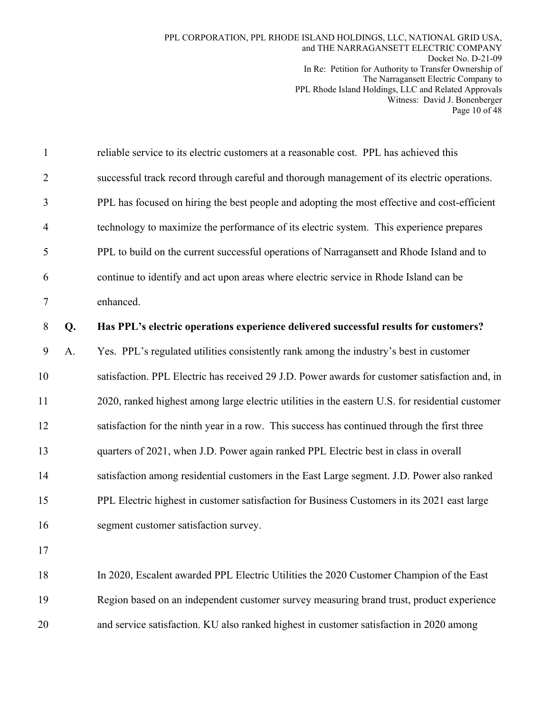| $\mathbf{1}$   |    | reliable service to its electric customers at a reasonable cost. PPL has achieved this           |
|----------------|----|--------------------------------------------------------------------------------------------------|
| $\overline{2}$ |    | successful track record through careful and thorough management of its electric operations.      |
| 3              |    | PPL has focused on hiring the best people and adopting the most effective and cost-efficient     |
| $\overline{4}$ |    | technology to maximize the performance of its electric system. This experience prepares          |
| 5              |    | PPL to build on the current successful operations of Narragansett and Rhode Island and to        |
| 6              |    | continue to identify and act upon areas where electric service in Rhode Island can be            |
| 7              |    | enhanced.                                                                                        |
| 8              | Q. | Has PPL's electric operations experience delivered successful results for customers?             |
| 9              | A. | Yes. PPL's regulated utilities consistently rank among the industry's best in customer           |
| 10             |    | satisfaction. PPL Electric has received 29 J.D. Power awards for customer satisfaction and, in   |
| 11             |    | 2020, ranked highest among large electric utilities in the eastern U.S. for residential customer |
| 12             |    | satisfaction for the ninth year in a row. This success has continued through the first three     |
| 13             |    | quarters of 2021, when J.D. Power again ranked PPL Electric best in class in overall             |
| 14             |    | satisfaction among residential customers in the East Large segment. J.D. Power also ranked       |
| 15             |    | PPL Electric highest in customer satisfaction for Business Customers in its 2021 east large      |
| 16             |    | segment customer satisfaction survey.                                                            |
| 17             |    |                                                                                                  |
| 18             |    | In 2020, Escalent awarded PPL Electric Utilities the 2020 Customer Champion of the East          |
| 19             |    | Region based on an independent customer survey measuring brand trust, product experience         |

20 and service satisfaction. KU also ranked highest in customer satisfaction in 2020 among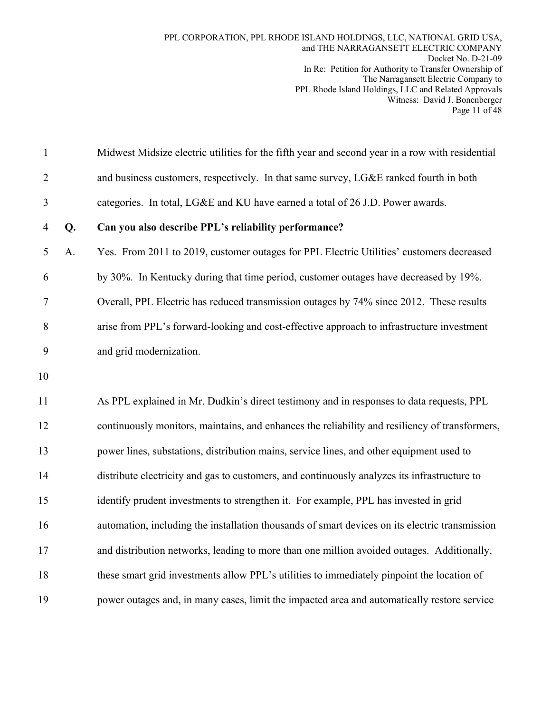| $\mathbf{1}$   |    | Midwest Midsize electric utilities for the fifth year and second year in a row with residential |
|----------------|----|-------------------------------------------------------------------------------------------------|
| $\overline{2}$ |    | and business customers, respectively. In that same survey, LG&E ranked fourth in both           |
| 3              |    | categories. In total, LG&E and KU have earned a total of 26 J.D. Power awards.                  |
| $\overline{4}$ | Q. | Can you also describe PPL's reliability performance?                                            |
| 5              | A. | Yes. From 2011 to 2019, customer outages for PPL Electric Utilities' customers decreased        |
| 6              |    | by 30%. In Kentucky during that time period, customer outages have decreased by 19%.            |
| 7              |    | Overall, PPL Electric has reduced transmission outages by 74% since 2012. These results         |
| 8              |    | arise from PPL's forward-looking and cost-effective approach to infrastructure investment       |
| 9              |    | and grid modernization.                                                                         |
| 10             |    |                                                                                                 |
| 11             |    | As PPL explained in Mr. Dudkin's direct testimony and in responses to data requests, PPL        |
| 12             |    | continuously monitors, maintains, and enhances the reliability and resiliency of transformers,  |
| 13             |    | power lines, substations, distribution mains, service lines, and other equipment used to        |
| 14             |    | distribute electricity and gas to customers, and continuously analyzes its infrastructure to    |
| 15             |    | identify prudent investments to strengthen it. For example, PPL has invested in grid            |
| 16             |    | automation, including the installation thousands of smart devices on its electric transmission  |
| 17             |    | and distribution networks, leading to more than one million avoided outages. Additionally,      |
| 18             |    | these smart grid investments allow PPL's utilities to immediately pinpoint the location of      |
| 19             |    | power outages and, in many cases, limit the impacted area and automatically restore service     |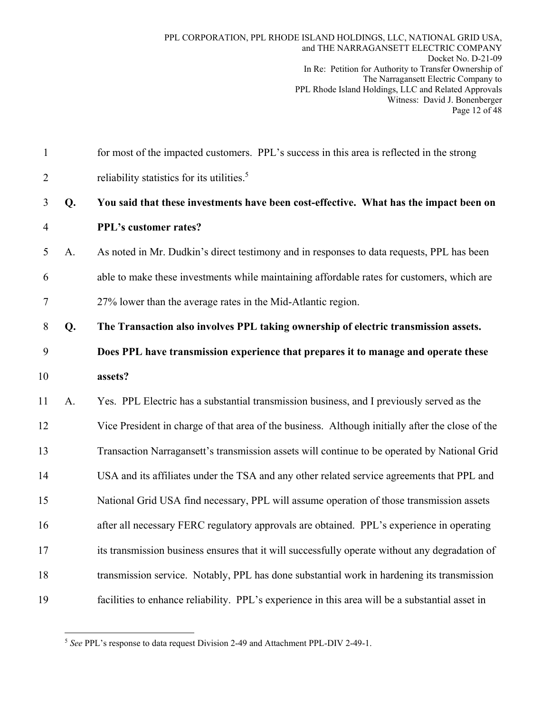| $\mathbf{1}$   |    | for most of the impacted customers. PPL's success in this area is reflected in the strong        |
|----------------|----|--------------------------------------------------------------------------------------------------|
| $\overline{2}$ |    | reliability statistics for its utilities. <sup>5</sup>                                           |
| 3              | Q. | You said that these investments have been cost-effective. What has the impact been on            |
| $\overline{4}$ |    | PPL's customer rates?                                                                            |
| 5              | A. | As noted in Mr. Dudkin's direct testimony and in responses to data requests, PPL has been        |
| 6              |    | able to make these investments while maintaining affordable rates for customers, which are       |
| $\tau$         |    | 27% lower than the average rates in the Mid-Atlantic region.                                     |
| 8              | Q. | The Transaction also involves PPL taking ownership of electric transmission assets.              |
| 9              |    | Does PPL have transmission experience that prepares it to manage and operate these               |
| 10             |    | assets?                                                                                          |
| 11             | A. | Yes. PPL Electric has a substantial transmission business, and I previously served as the        |
| 12             |    | Vice President in charge of that area of the business. Although initially after the close of the |
| 13             |    | Transaction Narragansett's transmission assets will continue to be operated by National Grid     |
| 14             |    | USA and its affiliates under the TSA and any other related service agreements that PPL and       |
| 15             |    | National Grid USA find necessary, PPL will assume operation of those transmission assets         |
| 16             |    | after all necessary FERC regulatory approvals are obtained. PPL's experience in operating        |
| 17             |    | its transmission business ensures that it will successfully operate without any degradation of   |
| 18             |    | transmission service. Notably, PPL has done substantial work in hardening its transmission       |
| 19             |    | facilities to enhance reliability. PPL's experience in this area will be a substantial asset in  |

<sup>1</sup> <sup>5</sup> *See* PPL's response to data request Division 2-49 and Attachment PPL-DIV 2-49-1.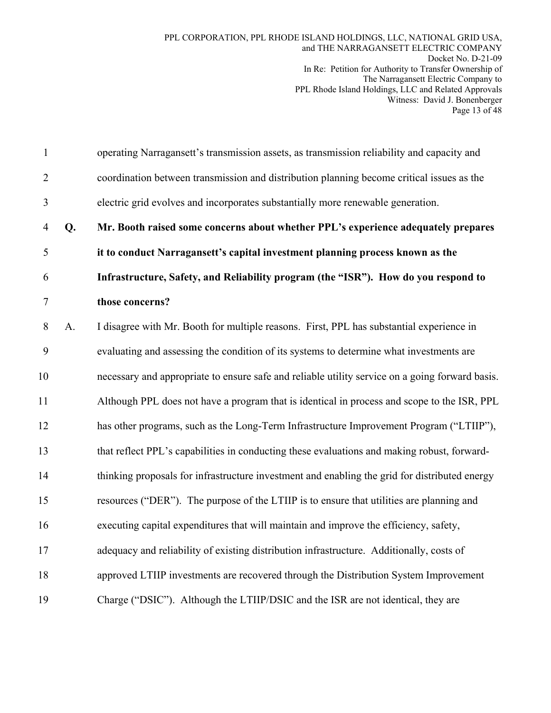1 operating Narragansett's transmission assets, as transmission reliability and capacity and 2 coordination between transmission and distribution planning become critical issues as the 3 electric grid evolves and incorporates substantially more renewable generation. 4 **Q. Mr. Booth raised some concerns about whether PPL's experience adequately prepares**  5 **it to conduct Narragansett's capital investment planning process known as the**  6 **Infrastructure, Safety, and Reliability program (the "ISR"). How do you respond to**  7 **those concerns?**  8 A. I disagree with Mr. Booth for multiple reasons. First, PPL has substantial experience in 9 evaluating and assessing the condition of its systems to determine what investments are 10 necessary and appropriate to ensure safe and reliable utility service on a going forward basis. 11 Although PPL does not have a program that is identical in process and scope to the ISR, PPL 12 has other programs, such as the Long-Term Infrastructure Improvement Program ("LTIIP"), 13 that reflect PPL's capabilities in conducting these evaluations and making robust, forward-14 thinking proposals for infrastructure investment and enabling the grid for distributed energy 15 resources ("DER"). The purpose of the LTIIP is to ensure that utilities are planning and 16 executing capital expenditures that will maintain and improve the efficiency, safety, 17 adequacy and reliability of existing distribution infrastructure. Additionally, costs of 18 approved LTIIP investments are recovered through the Distribution System Improvement 19 Charge ("DSIC"). Although the LTIIP/DSIC and the ISR are not identical, they are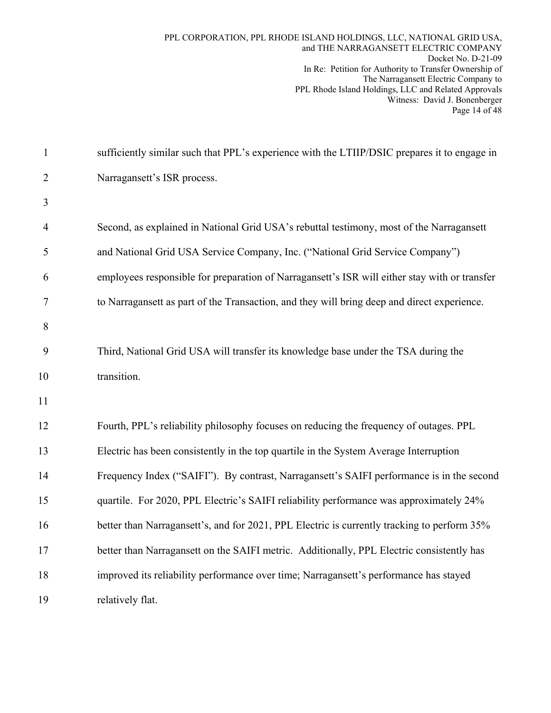| $\mathbf{1}$   | sufficiently similar such that PPL's experience with the LTIIP/DSIC prepares it to engage in  |
|----------------|-----------------------------------------------------------------------------------------------|
| $\overline{2}$ | Narragansett's ISR process.                                                                   |
| 3              |                                                                                               |
| $\overline{4}$ | Second, as explained in National Grid USA's rebuttal testimony, most of the Narragansett      |
| 5              | and National Grid USA Service Company, Inc. ("National Grid Service Company")                 |
| 6              | employees responsible for preparation of Narragansett's ISR will either stay with or transfer |
| 7              | to Narragansett as part of the Transaction, and they will bring deep and direct experience.   |
| 8              |                                                                                               |
| 9              | Third, National Grid USA will transfer its knowledge base under the TSA during the            |
| 10             | transition.                                                                                   |
| 11             |                                                                                               |
| 12             | Fourth, PPL's reliability philosophy focuses on reducing the frequency of outages. PPL        |
| 13             | Electric has been consistently in the top quartile in the System Average Interruption         |
| 14             | Frequency Index ("SAIFI"). By contrast, Narragansett's SAIFI performance is in the second     |
| 15             | quartile. For 2020, PPL Electric's SAIFI reliability performance was approximately 24%        |
| 16             | better than Narragansett's, and for 2021, PPL Electric is currently tracking to perform 35%   |
| 17             | better than Narragansett on the SAIFI metric. Additionally, PPL Electric consistently has     |
| 18             | improved its reliability performance over time; Narragansett's performance has stayed         |
| 19             | relatively flat.                                                                              |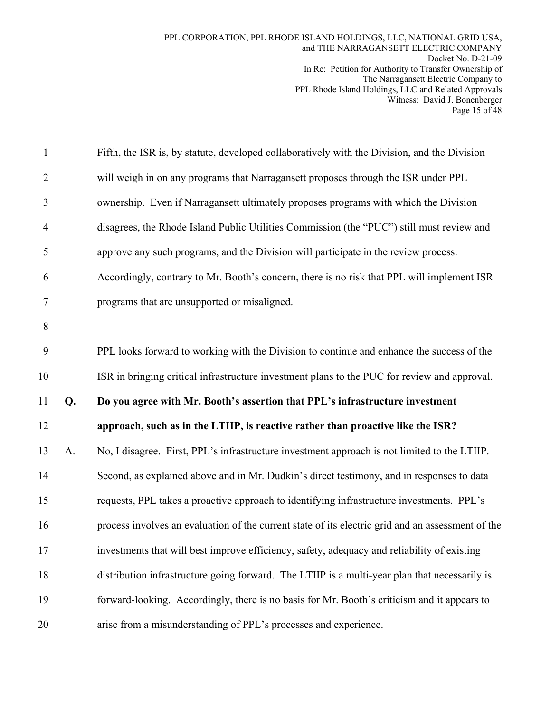| $\mathbf{1}$   |    | Fifth, the ISR is, by statute, developed collaboratively with the Division, and the Division      |
|----------------|----|---------------------------------------------------------------------------------------------------|
| $\overline{2}$ |    | will weigh in on any programs that Narragansett proposes through the ISR under PPL                |
| 3              |    | ownership. Even if Narragansett ultimately proposes programs with which the Division              |
| $\overline{4}$ |    | disagrees, the Rhode Island Public Utilities Commission (the "PUC") still must review and         |
| 5              |    | approve any such programs, and the Division will participate in the review process.               |
| 6              |    | Accordingly, contrary to Mr. Booth's concern, there is no risk that PPL will implement ISR        |
| 7              |    | programs that are unsupported or misaligned.                                                      |
| 8              |    |                                                                                                   |
| 9              |    | PPL looks forward to working with the Division to continue and enhance the success of the         |
| 10             |    | ISR in bringing critical infrastructure investment plans to the PUC for review and approval.      |
|                |    |                                                                                                   |
| 11             | Q. | Do you agree with Mr. Booth's assertion that PPL's infrastructure investment                      |
| 12             |    | approach, such as in the LTIIP, is reactive rather than proactive like the ISR?                   |
| 13             | A. | No, I disagree. First, PPL's infrastructure investment approach is not limited to the LTIIP.      |
| 14             |    | Second, as explained above and in Mr. Dudkin's direct testimony, and in responses to data         |
| 15             |    | requests, PPL takes a proactive approach to identifying infrastructure investments. PPL's         |
| 16             |    | process involves an evaluation of the current state of its electric grid and an assessment of the |
| 17             |    | investments that will best improve efficiency, safety, adequacy and reliability of existing       |
| 18             |    | distribution infrastructure going forward. The LTIIP is a multi-year plan that necessarily is     |
| 19             |    | forward-looking. Accordingly, there is no basis for Mr. Booth's criticism and it appears to       |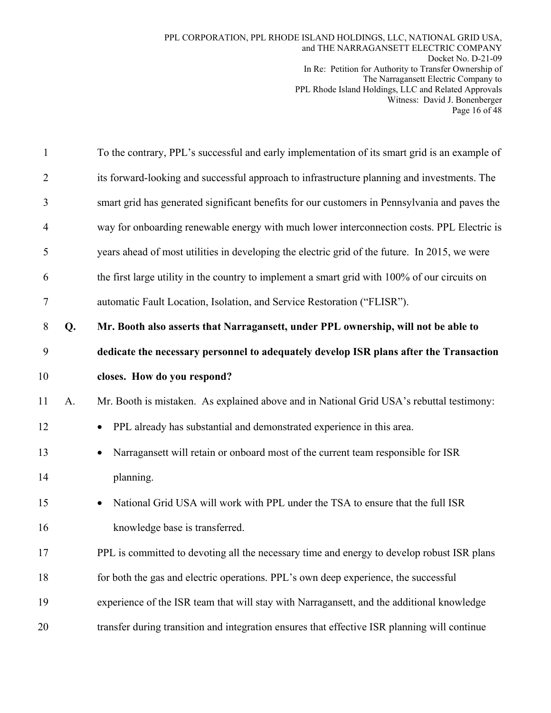| $\mathbf{1}$   |    | To the contrary, PPL's successful and early implementation of its smart grid is an example of |
|----------------|----|-----------------------------------------------------------------------------------------------|
| $\overline{2}$ |    | its forward-looking and successful approach to infrastructure planning and investments. The   |
| 3              |    | smart grid has generated significant benefits for our customers in Pennsylvania and paves the |
| 4              |    | way for onboarding renewable energy with much lower interconnection costs. PPL Electric is    |
| 5              |    | years ahead of most utilities in developing the electric grid of the future. In 2015, we were |
| 6              |    | the first large utility in the country to implement a smart grid with 100% of our circuits on |
| 7              |    | automatic Fault Location, Isolation, and Service Restoration ("FLISR").                       |
| 8              | Q. | Mr. Booth also asserts that Narragansett, under PPL ownership, will not be able to            |
| 9              |    | dedicate the necessary personnel to adequately develop ISR plans after the Transaction        |
| 10             |    | closes. How do you respond?                                                                   |
| 11             | A. | Mr. Booth is mistaken. As explained above and in National Grid USA's rebuttal testimony:      |
| 12             |    | PPL already has substantial and demonstrated experience in this area.                         |
| 13             |    | Narragansett will retain or onboard most of the current team responsible for ISR              |
| 14             |    | planning.                                                                                     |
| 15             |    | National Grid USA will work with PPL under the TSA to ensure that the full ISR                |
| 16             |    | knowledge base is transferred.                                                                |
| 17             |    | PPL is committed to devoting all the necessary time and energy to develop robust ISR plans    |
| 18             |    | for both the gas and electric operations. PPL's own deep experience, the successful           |
| 19             |    | experience of the ISR team that will stay with Narragansett, and the additional knowledge     |
| 20             |    | transfer during transition and integration ensures that effective ISR planning will continue  |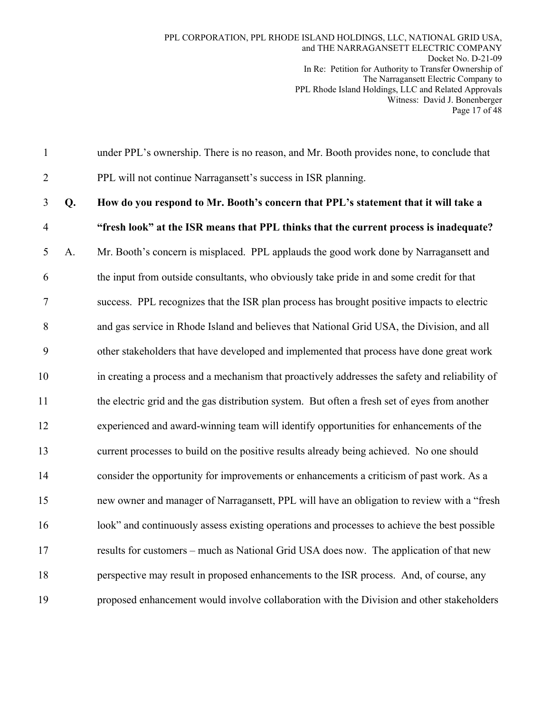1 under PPL's ownership. There is no reason, and Mr. Booth provides none, to conclude that

2 PPL will not continue Narragansett's success in ISR planning.

3 **Q. How do you respond to Mr. Booth's concern that PPL's statement that it will take a**  4 **"fresh look" at the ISR means that PPL thinks that the current process is inadequate?**  5 A. Mr. Booth's concern is misplaced. PPL applauds the good work done by Narragansett and 6 the input from outside consultants, who obviously take pride in and some credit for that 7 success. PPL recognizes that the ISR plan process has brought positive impacts to electric 8 and gas service in Rhode Island and believes that National Grid USA, the Division, and all 9 other stakeholders that have developed and implemented that process have done great work 10 in creating a process and a mechanism that proactively addresses the safety and reliability of 11 the electric grid and the gas distribution system. But often a fresh set of eyes from another 12 experienced and award-winning team will identify opportunities for enhancements of the 13 current processes to build on the positive results already being achieved. No one should 14 consider the opportunity for improvements or enhancements a criticism of past work. As a 15 new owner and manager of Narragansett, PPL will have an obligation to review with a "fresh 16 look" and continuously assess existing operations and processes to achieve the best possible 17 results for customers – much as National Grid USA does now. The application of that new 18 perspective may result in proposed enhancements to the ISR process. And, of course, any 19 proposed enhancement would involve collaboration with the Division and other stakeholders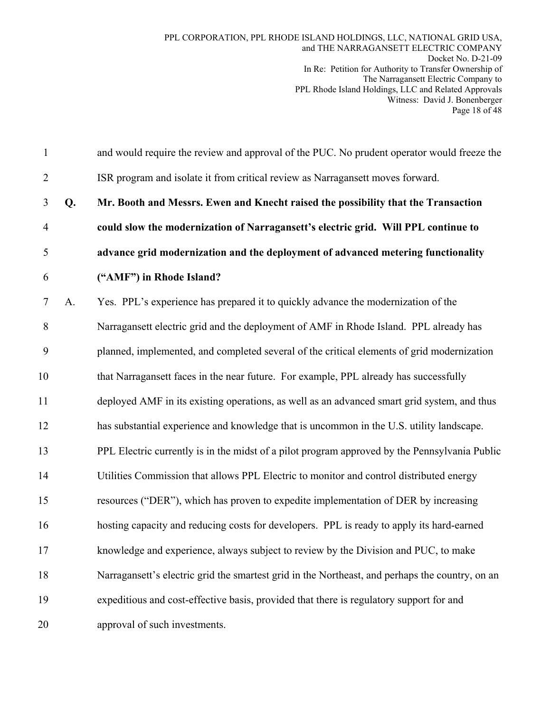1 and would require the review and approval of the PUC. No prudent operator would freeze the 2 ISR program and isolate it from critical review as Narragansett moves forward. 3 **Q. Mr. Booth and Messrs. Ewen and Knecht raised the possibility that the Transaction**  4 **could slow the modernization of Narragansett's electric grid. Will PPL continue to**  5 **advance grid modernization and the deployment of advanced metering functionality**  6 **("AMF") in Rhode Island?**  7 A. Yes. PPL's experience has prepared it to quickly advance the modernization of the 8 Narragansett electric grid and the deployment of AMF in Rhode Island. PPL already has 9 planned, implemented, and completed several of the critical elements of grid modernization 10 that Narragansett faces in the near future. For example, PPL already has successfully 11 deployed AMF in its existing operations, as well as an advanced smart grid system, and thus 12 has substantial experience and knowledge that is uncommon in the U.S. utility landscape. 13 PPL Electric currently is in the midst of a pilot program approved by the Pennsylvania Public 14 Utilities Commission that allows PPL Electric to monitor and control distributed energy 15 resources ("DER"), which has proven to expedite implementation of DER by increasing 16 hosting capacity and reducing costs for developers. PPL is ready to apply its hard-earned 17 knowledge and experience, always subject to review by the Division and PUC, to make 18 Narragansett's electric grid the smartest grid in the Northeast, and perhaps the country, on an 19 expeditious and cost-effective basis, provided that there is regulatory support for and 20 approval of such investments.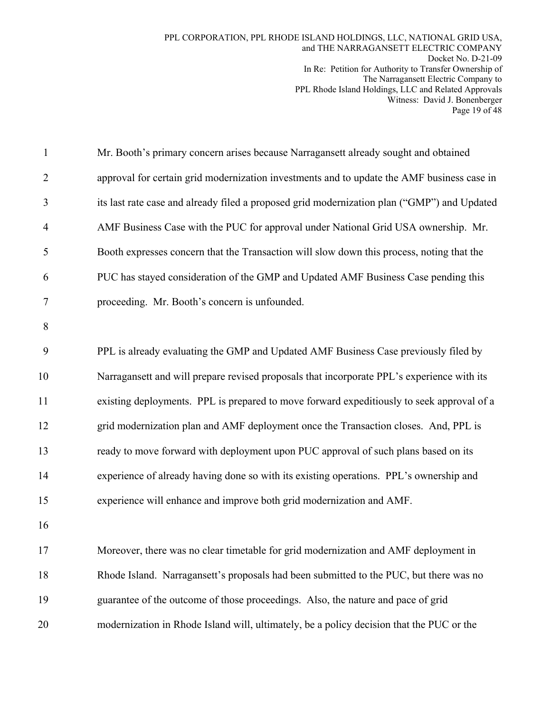| $\mathbf{1}$   | Mr. Booth's primary concern arises because Narragansett already sought and obtained         |
|----------------|---------------------------------------------------------------------------------------------|
| $\overline{2}$ | approval for certain grid modernization investments and to update the AMF business case in  |
| 3              | its last rate case and already filed a proposed grid modernization plan ("GMP") and Updated |
| $\overline{4}$ | AMF Business Case with the PUC for approval under National Grid USA ownership. Mr.          |
| 5              | Booth expresses concern that the Transaction will slow down this process, noting that the   |
| 6              | PUC has stayed consideration of the GMP and Updated AMF Business Case pending this          |
| 7              | proceeding. Mr. Booth's concern is unfounded.                                               |
| 8              |                                                                                             |
| 9              | PPL is already evaluating the GMP and Updated AMF Business Case previously filed by         |
| 10             | Narragansett and will prepare revised proposals that incorporate PPL's experience with its  |
| 11             | existing deployments. PPL is prepared to move forward expeditiously to seek approval of a   |
| 12             | grid modernization plan and AMF deployment once the Transaction closes. And, PPL is         |
| 13             | ready to move forward with deployment upon PUC approval of such plans based on its          |
| 14             | experience of already having done so with its existing operations. PPL's ownership and      |
| 15             | experience will enhance and improve both grid modernization and AMF.                        |
| 16             |                                                                                             |
| 17             | Moreover, there was no clear timetable for grid modernization and AMF deployment in         |
| 18             | Rhode Island. Narragansett's proposals had been submitted to the PUC, but there was no      |
| 19             | guarantee of the outcome of those proceedings. Also, the nature and pace of grid            |
| 20             | modernization in Rhode Island will, ultimately, be a policy decision that the PUC or the    |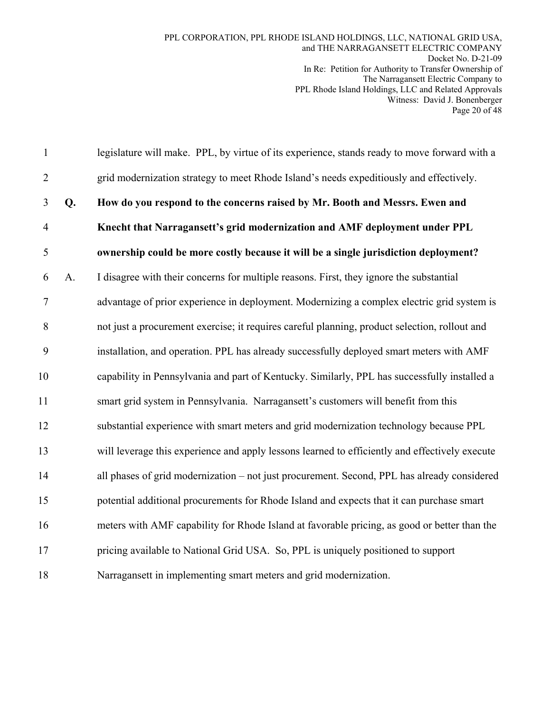| $\mathbf{1}$   |    | legislature will make. PPL, by virtue of its experience, stands ready to move forward with a   |
|----------------|----|------------------------------------------------------------------------------------------------|
| $\overline{2}$ |    | grid modernization strategy to meet Rhode Island's needs expeditiously and effectively.        |
| 3              | Q. | How do you respond to the concerns raised by Mr. Booth and Messrs. Ewen and                    |
| $\overline{4}$ |    | Knecht that Narragansett's grid modernization and AMF deployment under PPL                     |
| 5              |    | ownership could be more costly because it will be a single jurisdiction deployment?            |
| 6              | A. | I disagree with their concerns for multiple reasons. First, they ignore the substantial        |
| $\tau$         |    | advantage of prior experience in deployment. Modernizing a complex electric grid system is     |
| 8              |    | not just a procurement exercise; it requires careful planning, product selection, rollout and  |
| 9              |    | installation, and operation. PPL has already successfully deployed smart meters with AMF       |
| 10             |    | capability in Pennsylvania and part of Kentucky. Similarly, PPL has successfully installed a   |
| 11             |    | smart grid system in Pennsylvania. Narragansett's customers will benefit from this             |
| 12             |    | substantial experience with smart meters and grid modernization technology because PPL         |
| 13             |    | will leverage this experience and apply lessons learned to efficiently and effectively execute |
| 14             |    | all phases of grid modernization - not just procurement. Second, PPL has already considered    |
| 15             |    | potential additional procurements for Rhode Island and expects that it can purchase smart      |
| 16             |    | meters with AMF capability for Rhode Island at favorable pricing, as good or better than the   |
| 17             |    | pricing available to National Grid USA. So, PPL is uniquely positioned to support              |
| 18             |    | Narragansett in implementing smart meters and grid modernization.                              |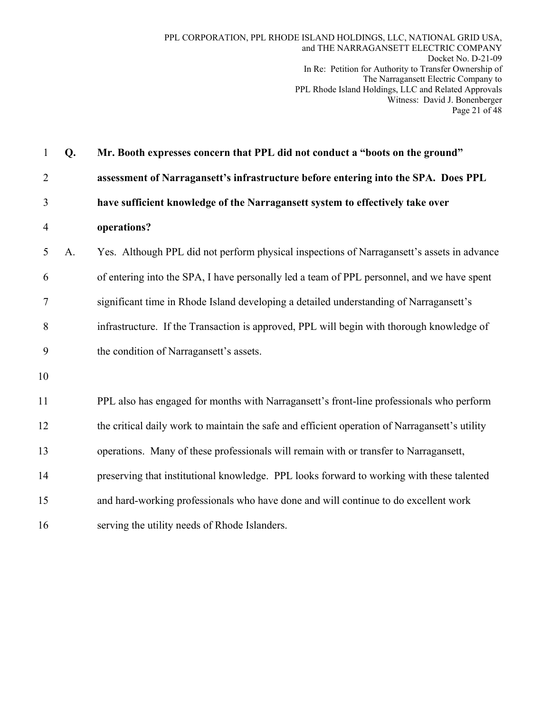| $\mathbf{1}$   | Q. | Mr. Booth expresses concern that PPL did not conduct a "boots on the ground"                   |
|----------------|----|------------------------------------------------------------------------------------------------|
| $\overline{2}$ |    | assessment of Narragansett's infrastructure before entering into the SPA. Does PPL             |
| 3              |    | have sufficient knowledge of the Narragansett system to effectively take over                  |
| 4              |    | operations?                                                                                    |
| 5              | A. | Yes. Although PPL did not perform physical inspections of Narragansett's assets in advance     |
| 6              |    | of entering into the SPA, I have personally led a team of PPL personnel, and we have spent     |
| $\tau$         |    | significant time in Rhode Island developing a detailed understanding of Narragansett's         |
| 8              |    | infrastructure. If the Transaction is approved, PPL will begin with thorough knowledge of      |
| 9              |    | the condition of Narragansett's assets.                                                        |
| 10             |    |                                                                                                |
| 11             |    | PPL also has engaged for months with Narragansett's front-line professionals who perform       |
| 12             |    | the critical daily work to maintain the safe and efficient operation of Narragansett's utility |
| 13             |    | operations. Many of these professionals will remain with or transfer to Narragansett,          |
| 14             |    | preserving that institutional knowledge. PPL looks forward to working with these talented      |
| 15             |    | and hard-working professionals who have done and will continue to do excellent work            |
| 16             |    | serving the utility needs of Rhode Islanders.                                                  |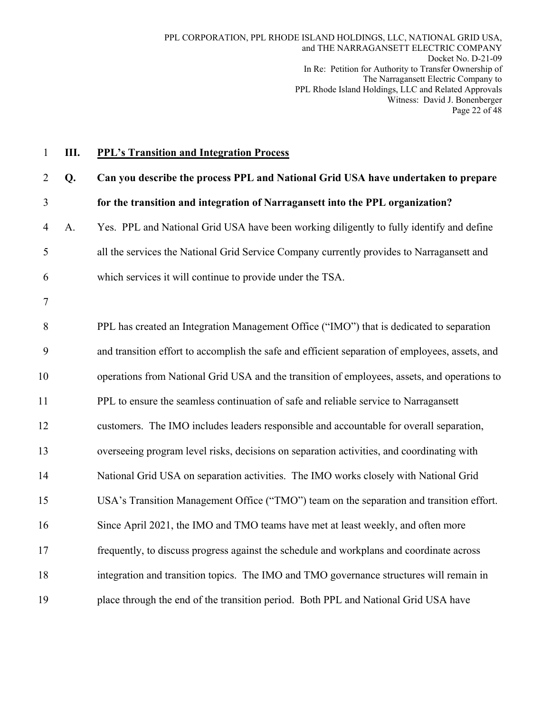| $\mathbf{1}$   | Ш. | <b>PPL's Transition and Integration Process</b>                                                 |
|----------------|----|-------------------------------------------------------------------------------------------------|
| $\overline{2}$ | Q. | Can you describe the process PPL and National Grid USA have undertaken to prepare               |
| $\mathfrak{Z}$ |    | for the transition and integration of Narragansett into the PPL organization?                   |
| 4              | A. | Yes. PPL and National Grid USA have been working diligently to fully identify and define        |
| 5              |    | all the services the National Grid Service Company currently provides to Narragansett and       |
| 6              |    | which services it will continue to provide under the TSA.                                       |
| $\tau$         |    |                                                                                                 |
| $8\,$          |    | PPL has created an Integration Management Office ("IMO") that is dedicated to separation        |
| 9              |    | and transition effort to accomplish the safe and efficient separation of employees, assets, and |
| 10             |    | operations from National Grid USA and the transition of employees, assets, and operations to    |
| 11             |    | PPL to ensure the seamless continuation of safe and reliable service to Narragansett            |
| 12             |    | customers. The IMO includes leaders responsible and accountable for overall separation,         |
| 13             |    | overseeing program level risks, decisions on separation activities, and coordinating with       |
| 14             |    | National Grid USA on separation activities. The IMO works closely with National Grid            |
| 15             |    | USA's Transition Management Office ("TMO") team on the separation and transition effort.        |
| 16             |    | Since April 2021, the IMO and TMO teams have met at least weekly, and often more                |
| 17             |    | frequently, to discuss progress against the schedule and workplans and coordinate across        |
| 18             |    | integration and transition topics. The IMO and TMO governance structures will remain in         |
| 19             |    | place through the end of the transition period. Both PPL and National Grid USA have             |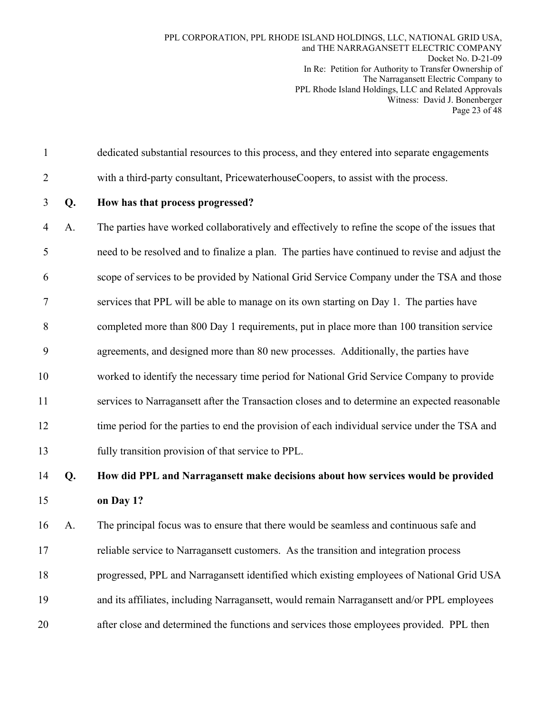- 1 dedicated substantial resources to this process, and they entered into separate engagements
- 2 with a third-party consultant, PricewaterhouseCoopers, to assist with the process.
- 

### 3 **Q. How has that process progressed?**

4 A. The parties have worked collaboratively and effectively to refine the scope of the issues that 5 need to be resolved and to finalize a plan. The parties have continued to revise and adjust the 6 scope of services to be provided by National Grid Service Company under the TSA and those 7 services that PPL will be able to manage on its own starting on Day 1. The parties have 8 completed more than 800 Day 1 requirements, put in place more than 100 transition service 9 agreements, and designed more than 80 new processes. Additionally, the parties have 10 worked to identify the necessary time period for National Grid Service Company to provide 11 services to Narragansett after the Transaction closes and to determine an expected reasonable 12 time period for the parties to end the provision of each individual service under the TSA and 13 fully transition provision of that service to PPL.

# 14 **Q. How did PPL and Narragansett make decisions about how services would be provided**  15 **on Day 1?**

16 A. The principal focus was to ensure that there would be seamless and continuous safe and 17 reliable service to Narragansett customers. As the transition and integration process 18 progressed, PPL and Narragansett identified which existing employees of National Grid USA 19 and its affiliates, including Narragansett, would remain Narragansett and/or PPL employees 20 after close and determined the functions and services those employees provided. PPL then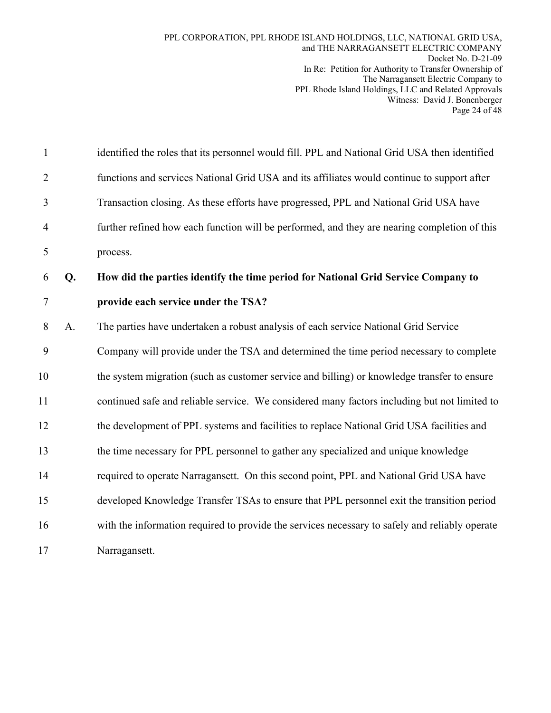| $\mathbf{1}$   |    | identified the roles that its personnel would fill. PPL and National Grid USA then identified  |
|----------------|----|------------------------------------------------------------------------------------------------|
| $\overline{2}$ |    | functions and services National Grid USA and its affiliates would continue to support after    |
| 3              |    | Transaction closing. As these efforts have progressed, PPL and National Grid USA have          |
| $\overline{4}$ |    | further refined how each function will be performed, and they are nearing completion of this   |
| 5              |    | process.                                                                                       |
| 6              | Q. | How did the parties identify the time period for National Grid Service Company to              |
| $\tau$         |    | provide each service under the TSA?                                                            |
| 8              | A. | The parties have undertaken a robust analysis of each service National Grid Service            |
| 9              |    | Company will provide under the TSA and determined the time period necessary to complete        |
| 10             |    | the system migration (such as customer service and billing) or knowledge transfer to ensure    |
| 11             |    | continued safe and reliable service. We considered many factors including but not limited to   |
| 12             |    | the development of PPL systems and facilities to replace National Grid USA facilities and      |
| 13             |    | the time necessary for PPL personnel to gather any specialized and unique knowledge            |
| 14             |    | required to operate Narragansett. On this second point, PPL and National Grid USA have         |
| 15             |    | developed Knowledge Transfer TSAs to ensure that PPL personnel exit the transition period      |
| 16             |    | with the information required to provide the services necessary to safely and reliably operate |
| 17             |    | Narragansett.                                                                                  |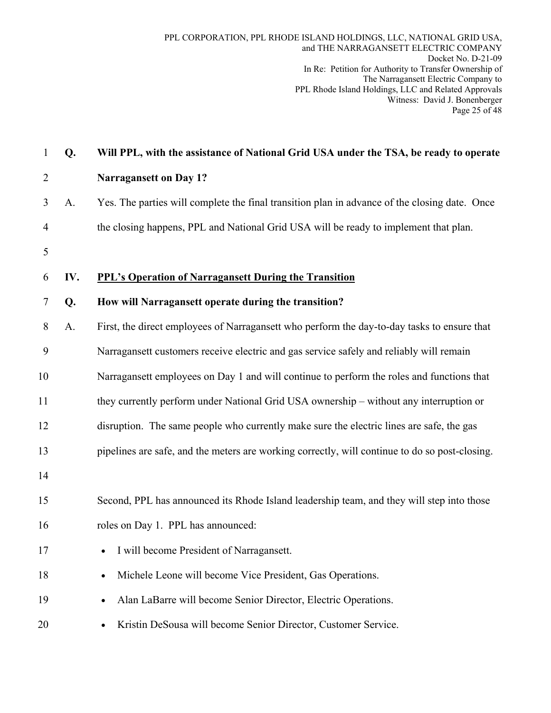| $\mathbf{1}$   | Q.  | Will PPL, with the assistance of National Grid USA under the TSA, be ready to operate          |
|----------------|-----|------------------------------------------------------------------------------------------------|
| $\overline{2}$ |     | <b>Narragansett on Day 1?</b>                                                                  |
| 3              | A.  | Yes. The parties will complete the final transition plan in advance of the closing date. Once  |
| 4              |     | the closing happens, PPL and National Grid USA will be ready to implement that plan.           |
| 5              |     |                                                                                                |
| 6              | IV. | <b>PPL's Operation of Narragansett During the Transition</b>                                   |
| 7              | Q.  | How will Narragansett operate during the transition?                                           |
| 8              | A.  | First, the direct employees of Narragansett who perform the day-to-day tasks to ensure that    |
| 9              |     | Narragansett customers receive electric and gas service safely and reliably will remain        |
| 10             |     | Narragansett employees on Day 1 and will continue to perform the roles and functions that      |
| 11             |     | they currently perform under National Grid USA ownership – without any interruption or         |
| 12             |     | disruption. The same people who currently make sure the electric lines are safe, the gas       |
| 13             |     | pipelines are safe, and the meters are working correctly, will continue to do so post-closing. |
| 14             |     |                                                                                                |
| 15             |     | Second, PPL has announced its Rhode Island leadership team, and they will step into those      |
| 16             |     | roles on Day 1. PPL has announced:                                                             |
| 17             |     | I will become President of Narragansett.<br>٠                                                  |
| 18             |     | Michele Leone will become Vice President, Gas Operations.                                      |
| 19             |     | Alan LaBarre will become Senior Director, Electric Operations.                                 |
| 20             |     | Kristin DeSousa will become Senior Director, Customer Service.                                 |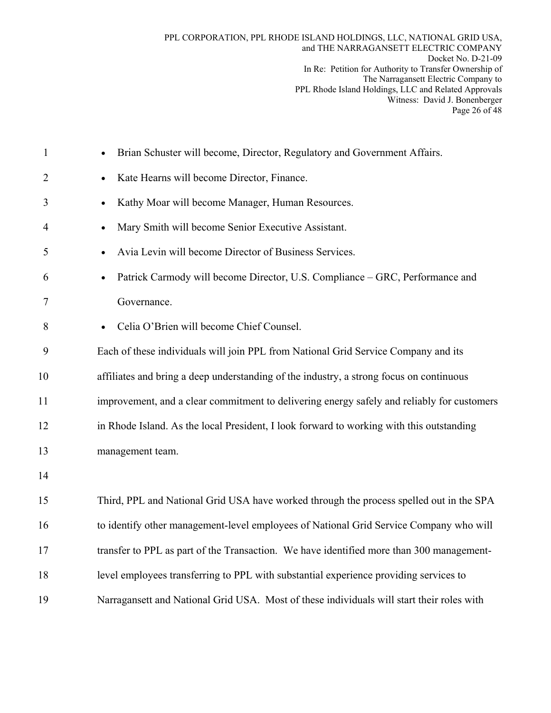| $\mathbf{1}$   | Brian Schuster will become, Director, Regulatory and Government Affairs.                   |
|----------------|--------------------------------------------------------------------------------------------|
| $\overline{2}$ | Kate Hearns will become Director, Finance.<br>$\bullet$                                    |
| 3              | Kathy Moar will become Manager, Human Resources.<br>$\bullet$                              |
| 4              | Mary Smith will become Senior Executive Assistant.<br>$\bullet$                            |
| 5              | Avia Levin will become Director of Business Services.<br>$\bullet$                         |
| 6              | Patrick Carmody will become Director, U.S. Compliance – GRC, Performance and<br>$\bullet$  |
| 7              | Governance.                                                                                |
| 8              | Celia O'Brien will become Chief Counsel.<br>$\bullet$                                      |
| 9              | Each of these individuals will join PPL from National Grid Service Company and its         |
| 10             | affiliates and bring a deep understanding of the industry, a strong focus on continuous    |
| 11             | improvement, and a clear commitment to delivering energy safely and reliably for customers |
| 12             | in Rhode Island. As the local President, I look forward to working with this outstanding   |
| 13             | management team.                                                                           |
| 14             |                                                                                            |
| 15             | Third, PPL and National Grid USA have worked through the process spelled out in the SPA    |
| 16             | to identify other management-level employees of National Grid Service Company who will     |
| 17             | transfer to PPL as part of the Transaction. We have identified more than 300 management-   |
| 18             | level employees transferring to PPL with substantial experience providing services to      |
| 19             | Narragansett and National Grid USA. Most of these individuals will start their roles with  |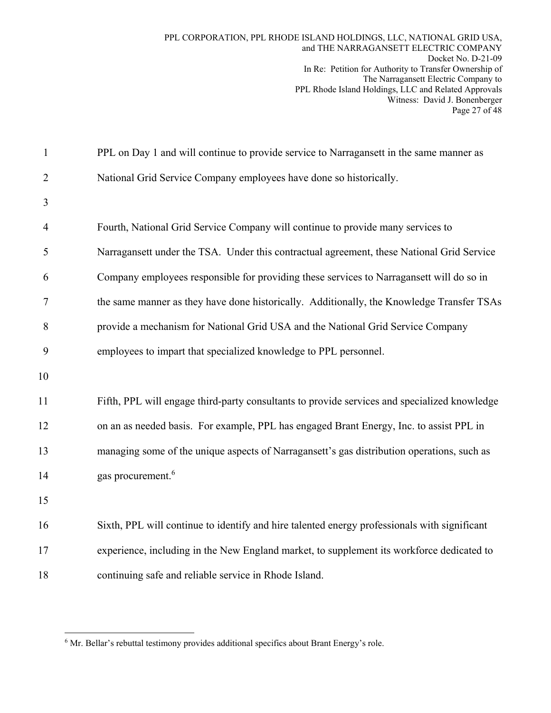| $\mathbf{1}$   | PPL on Day 1 and will continue to provide service to Narragansett in the same manner as      |
|----------------|----------------------------------------------------------------------------------------------|
| $\overline{2}$ | National Grid Service Company employees have done so historically.                           |
| 3              |                                                                                              |
| $\overline{4}$ | Fourth, National Grid Service Company will continue to provide many services to              |
| 5              | Narragansett under the TSA. Under this contractual agreement, these National Grid Service    |
| 6              | Company employees responsible for providing these services to Narragansett will do so in     |
| $\overline{7}$ | the same manner as they have done historically. Additionally, the Knowledge Transfer TSAs    |
| 8              | provide a mechanism for National Grid USA and the National Grid Service Company              |
| 9              | employees to impart that specialized knowledge to PPL personnel.                             |
| 10             |                                                                                              |
| 11             | Fifth, PPL will engage third-party consultants to provide services and specialized knowledge |
| 12             | on an as needed basis. For example, PPL has engaged Brant Energy, Inc. to assist PPL in      |
| 13             | managing some of the unique aspects of Narragansett's gas distribution operations, such as   |
| 14             | gas procurement. <sup>6</sup>                                                                |
| 15             |                                                                                              |
| 16             | Sixth, PPL will continue to identify and hire talented energy professionals with significant |
| 17             | experience, including in the New England market, to supplement its workforce dedicated to    |
| 18             | continuing safe and reliable service in Rhode Island.                                        |

 $\overline{a}$ <sup>6</sup> Mr. Bellar's rebuttal testimony provides additional specifics about Brant Energy's role.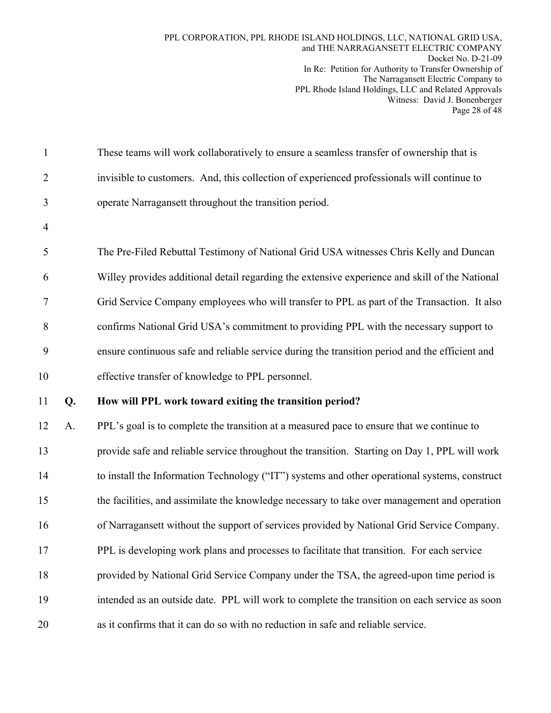| $\mathbf{1}$   |    | These teams will work collaboratively to ensure a seamless transfer of ownership that is       |
|----------------|----|------------------------------------------------------------------------------------------------|
| $\overline{2}$ |    | invisible to customers. And, this collection of experienced professionals will continue to     |
| 3              |    | operate Narragansett throughout the transition period.                                         |
| $\overline{4}$ |    |                                                                                                |
| 5              |    | The Pre-Filed Rebuttal Testimony of National Grid USA witnesses Chris Kelly and Duncan         |
| 6              |    | Willey provides additional detail regarding the extensive experience and skill of the National |
| 7              |    | Grid Service Company employees who will transfer to PPL as part of the Transaction. It also    |
| 8              |    | confirms National Grid USA's commitment to providing PPL with the necessary support to         |
| 9              |    | ensure continuous safe and reliable service during the transition period and the efficient and |
| 10             |    | effective transfer of knowledge to PPL personnel.                                              |
| 11             | Q. | How will PPL work toward exiting the transition period?                                        |
| 12             | A. | PPL's goal is to complete the transition at a measured pace to ensure that we continue to      |
| 13             |    | provide safe and reliable service throughout the transition. Starting on Day 1, PPL will work  |
| 14             |    | to install the Information Technology ("IT") systems and other operational systems, construct  |
| 15             |    | the facilities, and assimilate the knowledge necessary to take over management and operation   |
| 16             |    | of Narragansett without the support of services provided by National Grid Service Company.     |
|                |    |                                                                                                |
| 17             |    | PPL is developing work plans and processes to facilitate that transition. For each service     |
| 18             |    | provided by National Grid Service Company under the TSA, the agreed-upon time period is        |
| 19             |    | intended as an outside date. PPL will work to complete the transition on each service as soon  |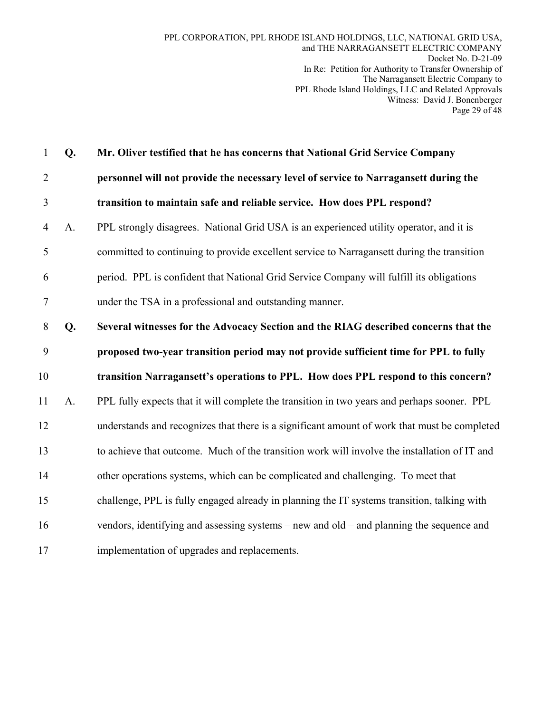1 **Q. Mr. Oliver testified that he has concerns that National Grid Service Company**  2 **personnel will not provide the necessary level of service to Narragansett during the**  3 **transition to maintain safe and reliable service. How does PPL respond?**  4 A. PPL strongly disagrees. National Grid USA is an experienced utility operator, and it is 5 committed to continuing to provide excellent service to Narragansett during the transition 6 period. PPL is confident that National Grid Service Company will fulfill its obligations 7 under the TSA in a professional and outstanding manner. 8 **Q. Several witnesses for the Advocacy Section and the RIAG described concerns that the**  9 **proposed two-year transition period may not provide sufficient time for PPL to fully**  10 **transition Narragansett's operations to PPL. How does PPL respond to this concern?**  11 A. PPL fully expects that it will complete the transition in two years and perhaps sooner. PPL 12 understands and recognizes that there is a significant amount of work that must be completed 13 to achieve that outcome. Much of the transition work will involve the installation of IT and 14 other operations systems, which can be complicated and challenging. To meet that 15 challenge, PPL is fully engaged already in planning the IT systems transition, talking with 16 vendors, identifying and assessing systems – new and old – and planning the sequence and 17 implementation of upgrades and replacements.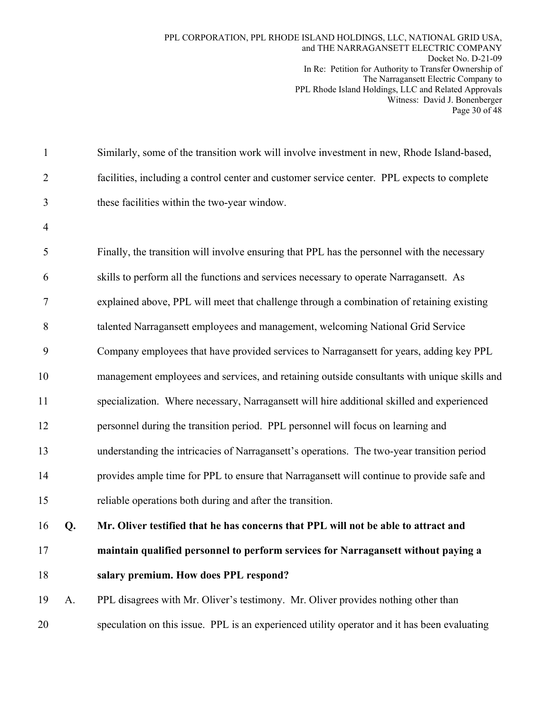| $\mathbf{1}$   |    | Similarly, some of the transition work will involve investment in new, Rhode Island-based,   |
|----------------|----|----------------------------------------------------------------------------------------------|
| $\overline{2}$ |    | facilities, including a control center and customer service center. PPL expects to complete  |
| 3              |    | these facilities within the two-year window.                                                 |
| $\overline{4}$ |    |                                                                                              |
| 5              |    | Finally, the transition will involve ensuring that PPL has the personnel with the necessary  |
| 6              |    | skills to perform all the functions and services necessary to operate Narragansett. As       |
| 7              |    | explained above, PPL will meet that challenge through a combination of retaining existing    |
| 8              |    | talented Narragansett employees and management, welcoming National Grid Service              |
| 9              |    | Company employees that have provided services to Narragansett for years, adding key PPL      |
| 10             |    | management employees and services, and retaining outside consultants with unique skills and  |
| 11             |    | specialization. Where necessary, Narragansett will hire additional skilled and experienced   |
| 12             |    | personnel during the transition period. PPL personnel will focus on learning and             |
| 13             |    | understanding the intricacies of Narragansett's operations. The two-year transition period   |
| 14             |    | provides ample time for PPL to ensure that Narragansett will continue to provide safe and    |
| 15             |    | reliable operations both during and after the transition.                                    |
| 16             | Q. | Mr. Oliver testified that he has concerns that PPL will not be able to attract and           |
| 17             |    | maintain qualified personnel to perform services for Narragansett without paying a           |
| 18             |    | salary premium. How does PPL respond?                                                        |
| 19             | A. | PPL disagrees with Mr. Oliver's testimony. Mr. Oliver provides nothing other than            |
| 20             |    | speculation on this issue. PPL is an experienced utility operator and it has been evaluating |
|                |    |                                                                                              |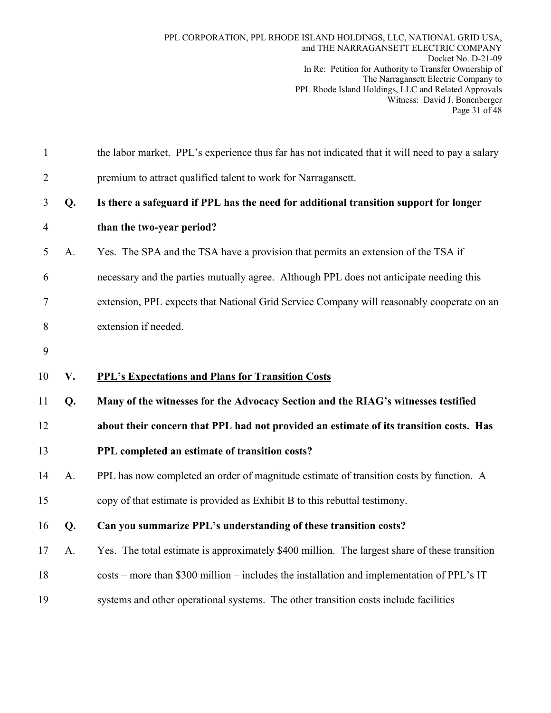| $\mathbf{1}$   |    | the labor market. PPL's experience thus far has not indicated that it will need to pay a salary |
|----------------|----|-------------------------------------------------------------------------------------------------|
| $\overline{2}$ |    | premium to attract qualified talent to work for Narragansett.                                   |
| 3              | Q. | Is there a safeguard if PPL has the need for additional transition support for longer           |
| $\overline{4}$ |    | than the two-year period?                                                                       |
| 5              | A. | Yes. The SPA and the TSA have a provision that permits an extension of the TSA if               |
| 6              |    | necessary and the parties mutually agree. Although PPL does not anticipate needing this         |
| $\tau$         |    | extension, PPL expects that National Grid Service Company will reasonably cooperate on an       |
| 8              |    | extension if needed.                                                                            |
| 9              |    |                                                                                                 |
| 10             | V. | <b>PPL's Expectations and Plans for Transition Costs</b>                                        |
| 11             | Q. | Many of the witnesses for the Advocacy Section and the RIAG's witnesses testified               |
| 12             |    | about their concern that PPL had not provided an estimate of its transition costs. Has          |
| 13             |    | PPL completed an estimate of transition costs?                                                  |
| 14             | A. | PPL has now completed an order of magnitude estimate of transition costs by function. A         |
| 15             |    | copy of that estimate is provided as Exhibit B to this rebuttal testimony.                      |
| 16             | Q. | Can you summarize PPL's understanding of these transition costs?                                |
| 17             | A. | Yes. The total estimate is approximately \$400 million. The largest share of these transition   |
| 18             |    | costs – more than \$300 million – includes the installation and implementation of PPL's IT      |
| 19             |    | systems and other operational systems. The other transition costs include facilities            |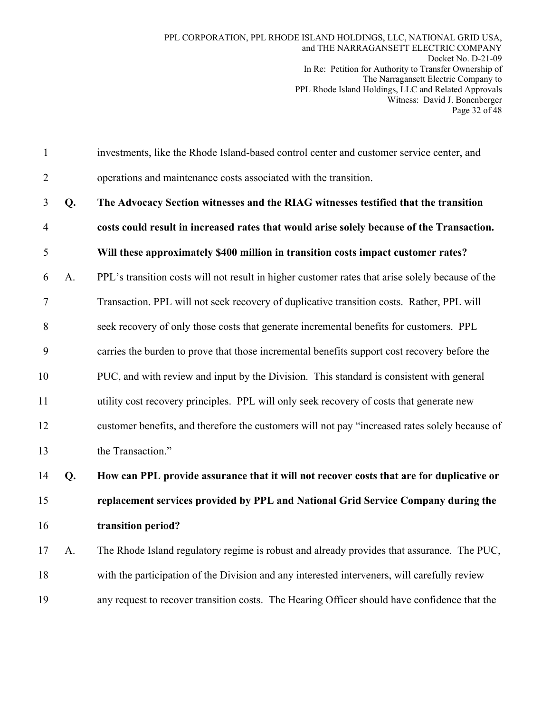1 investments, like the Rhode Island-based control center and customer service center, and 2 operations and maintenance costs associated with the transition.

3 **Q. The Advocacy Section witnesses and the RIAG witnesses testified that the transition**  4 **costs could result in increased rates that would arise solely because of the Transaction.**  5 **Will these approximately \$400 million in transition costs impact customer rates?** 

6 A. PPL's transition costs will not result in higher customer rates that arise solely because of the

7 Transaction. PPL will not seek recovery of duplicative transition costs. Rather, PPL will

8 seek recovery of only those costs that generate incremental benefits for customers. PPL

9 carries the burden to prove that those incremental benefits support cost recovery before the

10 PUC, and with review and input by the Division. This standard is consistent with general

11 utility cost recovery principles. PPL will only seek recovery of costs that generate new

12 customer benefits, and therefore the customers will not pay "increased rates solely because of

13 the Transaction."

14 **Q. How can PPL provide assurance that it will not recover costs that are for duplicative or**  15 **replacement services provided by PPL and National Grid Service Company during the**  16 **transition period?** 

17 A. The Rhode Island regulatory regime is robust and already provides that assurance. The PUC, 18 with the participation of the Division and any interested interveners, will carefully review 19 any request to recover transition costs. The Hearing Officer should have confidence that the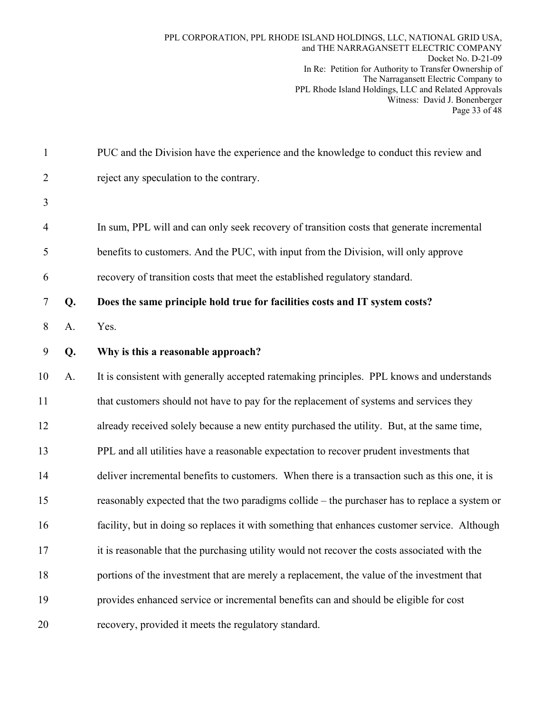1 PUC and the Division have the experience and the knowledge to conduct this review and 2 reject any speculation to the contrary. 3 4 In sum, PPL will and can only seek recovery of transition costs that generate incremental 5 benefits to customers. And the PUC, with input from the Division, will only approve 6 recovery of transition costs that meet the established regulatory standard. 7 **Q. Does the same principle hold true for facilities costs and IT system costs?**  8 A. Yes. 9 **Q. Why is this a reasonable approach?**  10 A. It is consistent with generally accepted ratemaking principles. PPL knows and understands 11 that customers should not have to pay for the replacement of systems and services they 12 already received solely because a new entity purchased the utility. But, at the same time, 13 PPL and all utilities have a reasonable expectation to recover prudent investments that 14 deliver incremental benefits to customers. When there is a transaction such as this one, it is 15 reasonably expected that the two paradigms collide – the purchaser has to replace a system or 16 facility, but in doing so replaces it with something that enhances customer service. Although 17 it is reasonable that the purchasing utility would not recover the costs associated with the 18 portions of the investment that are merely a replacement, the value of the investment that 19 provides enhanced service or incremental benefits can and should be eligible for cost 20 recovery, provided it meets the regulatory standard.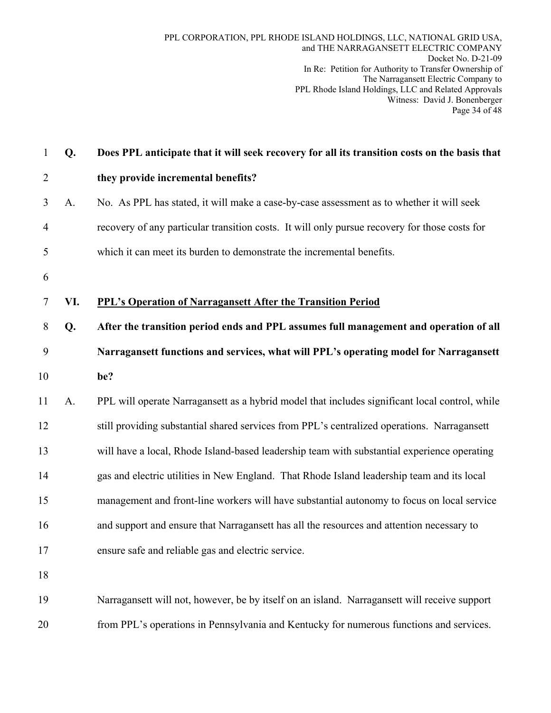| $\mathbf{1}$   | Q.  | Does PPL anticipate that it will seek recovery for all its transition costs on the basis that  |
|----------------|-----|------------------------------------------------------------------------------------------------|
| $\overline{2}$ |     | they provide incremental benefits?                                                             |
| 3              | A.  | No. As PPL has stated, it will make a case-by-case assessment as to whether it will seek       |
| $\overline{4}$ |     | recovery of any particular transition costs. It will only pursue recovery for those costs for  |
| 5              |     | which it can meet its burden to demonstrate the incremental benefits.                          |
| 6              |     |                                                                                                |
| $\tau$         | VI. | <b>PPL's Operation of Narragansett After the Transition Period</b>                             |
| 8              | Q.  | After the transition period ends and PPL assumes full management and operation of all          |
| 9              |     | Narragansett functions and services, what will PPL's operating model for Narragansett          |
| 10             |     | be?                                                                                            |
| 11             | A.  | PPL will operate Narragansett as a hybrid model that includes significant local control, while |
| 12             |     | still providing substantial shared services from PPL's centralized operations. Narragansett    |
| 13             |     | will have a local, Rhode Island-based leadership team with substantial experience operating    |
| 14             |     | gas and electric utilities in New England. That Rhode Island leadership team and its local     |
| 15             |     | management and front-line workers will have substantial autonomy to focus on local service     |
| 16             |     | and support and ensure that Narragansett has all the resources and attention necessary to      |
| 17             |     | ensure safe and reliable gas and electric service.                                             |
| 18             |     |                                                                                                |
| 19             |     | Narragansett will not, however, be by itself on an island. Narragansett will receive support   |
| 20             |     | from PPL's operations in Pennsylvania and Kentucky for numerous functions and services.        |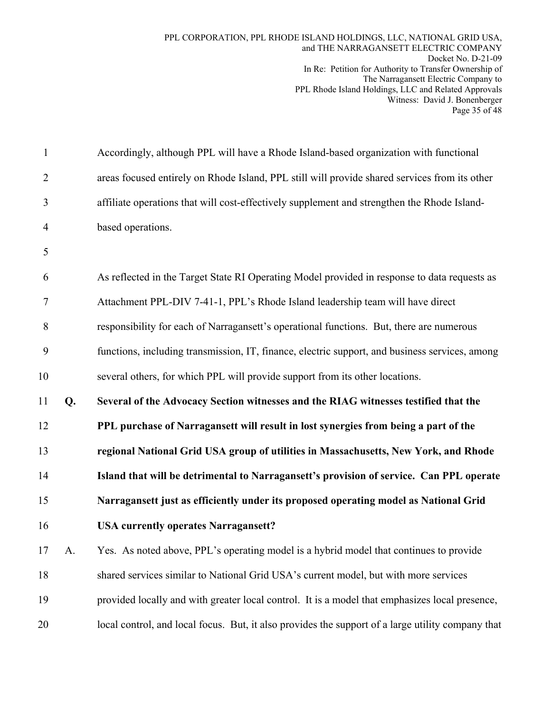| $\mathbf{1}$   |    | Accordingly, although PPL will have a Rhode Island-based organization with functional          |
|----------------|----|------------------------------------------------------------------------------------------------|
| $\overline{2}$ |    | areas focused entirely on Rhode Island, PPL still will provide shared services from its other  |
| 3              |    | affiliate operations that will cost-effectively supplement and strengthen the Rhode Island-    |
| $\overline{4}$ |    | based operations.                                                                              |
| 5              |    |                                                                                                |
| 6              |    | As reflected in the Target State RI Operating Model provided in response to data requests as   |
| 7              |    | Attachment PPL-DIV 7-41-1, PPL's Rhode Island leadership team will have direct                 |
| 8              |    | responsibility for each of Narragansett's operational functions. But, there are numerous       |
| 9              |    | functions, including transmission, IT, finance, electric support, and business services, among |
| 10             |    | several others, for which PPL will provide support from its other locations.                   |
|                |    |                                                                                                |
| 11             | Q. | Several of the Advocacy Section witnesses and the RIAG witnesses testified that the            |
| 12             |    | PPL purchase of Narragansett will result in lost synergies from being a part of the            |
| 13             |    | regional National Grid USA group of utilities in Massachusetts, New York, and Rhode            |
| 14             |    | Island that will be detrimental to Narragansett's provision of service. Can PPL operate        |
| 15             |    | Narragansett just as efficiently under its proposed operating model as National Grid           |
| 16             |    | <b>USA currently operates Narragansett?</b>                                                    |
| 17             | A. | Yes. As noted above, PPL's operating model is a hybrid model that continues to provide         |
| 18             |    | shared services similar to National Grid USA's current model, but with more services           |
| 19             |    | provided locally and with greater local control. It is a model that emphasizes local presence, |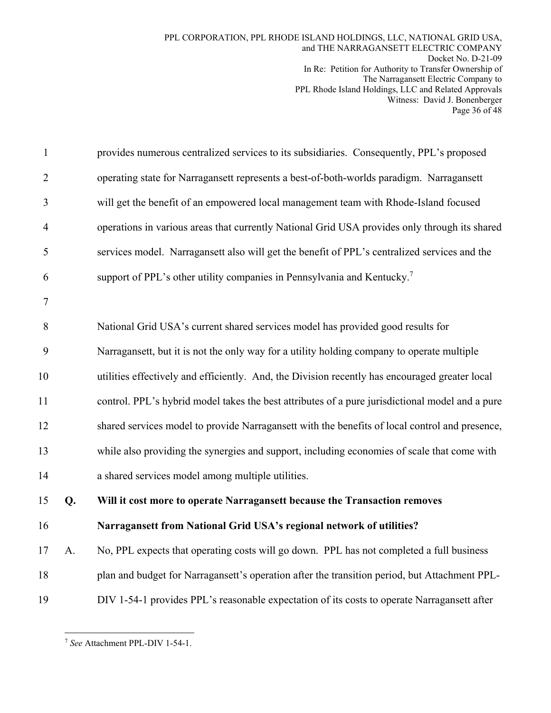| $\mathbf{1}$   |    | provides numerous centralized services to its subsidiaries. Consequently, PPL's proposed        |
|----------------|----|-------------------------------------------------------------------------------------------------|
| $\overline{2}$ |    | operating state for Narragansett represents a best-of-both-worlds paradigm. Narragansett        |
| 3              |    | will get the benefit of an empowered local management team with Rhode-Island focused            |
| $\overline{4}$ |    | operations in various areas that currently National Grid USA provides only through its shared   |
| 5              |    | services model. Narragansett also will get the benefit of PPL's centralized services and the    |
| 6              |    | support of PPL's other utility companies in Pennsylvania and Kentucky. <sup>7</sup>             |
| 7              |    |                                                                                                 |
| 8              |    | National Grid USA's current shared services model has provided good results for                 |
| 9              |    | Narragansett, but it is not the only way for a utility holding company to operate multiple      |
| 10             |    | utilities effectively and efficiently. And, the Division recently has encouraged greater local  |
| 11             |    | control. PPL's hybrid model takes the best attributes of a pure jurisdictional model and a pure |
| 12             |    | shared services model to provide Narragansett with the benefits of local control and presence,  |
| 13             |    | while also providing the synergies and support, including economies of scale that come with     |
| 14             |    | a shared services model among multiple utilities.                                               |
| 15             | Q. | Will it cost more to operate Narragansett because the Transaction removes                       |
| 16             |    | Narragansett from National Grid USA's regional network of utilities?                            |
| 17             | A. | No, PPL expects that operating costs will go down. PPL has not completed a full business        |
| 18             |    | plan and budget for Narragansett's operation after the transition period, but Attachment PPL-   |
| 19             |    | DIV 1-54-1 provides PPL's reasonable expectation of its costs to operate Narragansett after     |
|                |    |                                                                                                 |

 $\overline{a}$ <sup>7</sup> *See* Attachment PPL-DIV 1-54-1.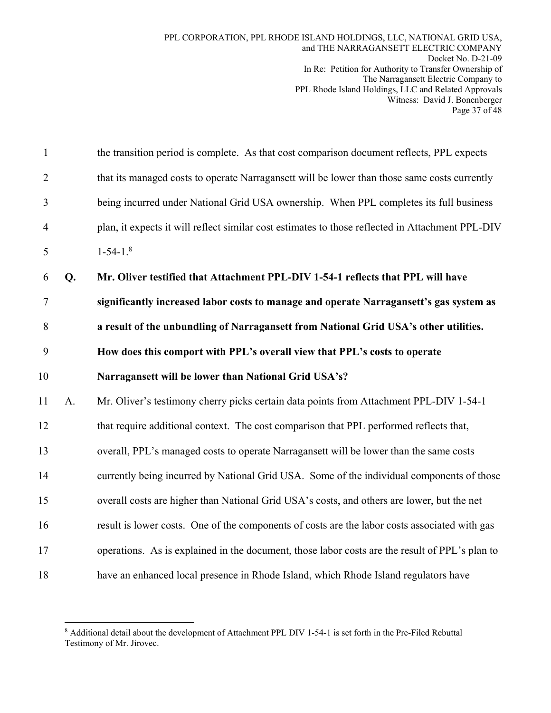| $\mathbf{1}$   |                | the transition period is complete. As that cost comparison document reflects, PPL expects        |
|----------------|----------------|--------------------------------------------------------------------------------------------------|
| $\overline{2}$ |                | that its managed costs to operate Narragansett will be lower than those same costs currently     |
| 3              |                | being incurred under National Grid USA ownership. When PPL completes its full business           |
| $\overline{4}$ |                | plan, it expects it will reflect similar cost estimates to those reflected in Attachment PPL-DIV |
| 5              |                | $1-54-1$ . <sup>8</sup>                                                                          |
| 6              | Q.             | Mr. Oliver testified that Attachment PPL-DIV 1-54-1 reflects that PPL will have                  |
| $\tau$         |                | significantly increased labor costs to manage and operate Narragansett's gas system as           |
| 8              |                | a result of the unbundling of Narragansett from National Grid USA's other utilities.             |
| 9              |                | How does this comport with PPL's overall view that PPL's costs to operate                        |
| 10             |                | Narragansett will be lower than National Grid USA's?                                             |
| 11             | A <sub>1</sub> | Mr. Oliver's testimony cherry picks certain data points from Attachment PPL-DIV 1-54-1           |
| 12             |                | that require additional context. The cost comparison that PPL performed reflects that,           |
| 13             |                | overall, PPL's managed costs to operate Narragansett will be lower than the same costs           |
| 14             |                | currently being incurred by National Grid USA. Some of the individual components of those        |
| 15             |                | overall costs are higher than National Grid USA's costs, and others are lower, but the net       |
| 16             |                | result is lower costs. One of the components of costs are the labor costs associated with gas    |
| 17             |                | operations. As is explained in the document, those labor costs are the result of PPL's plan to   |
| 18             |                | have an enhanced local presence in Rhode Island, which Rhode Island regulators have              |

<sup>&</sup>lt;sup>8</sup> Additional detail about the development of Attachment PPL DIV 1-54-1 is set forth in the Pre-Filed Rebuttal Testimony of Mr. Jirovec.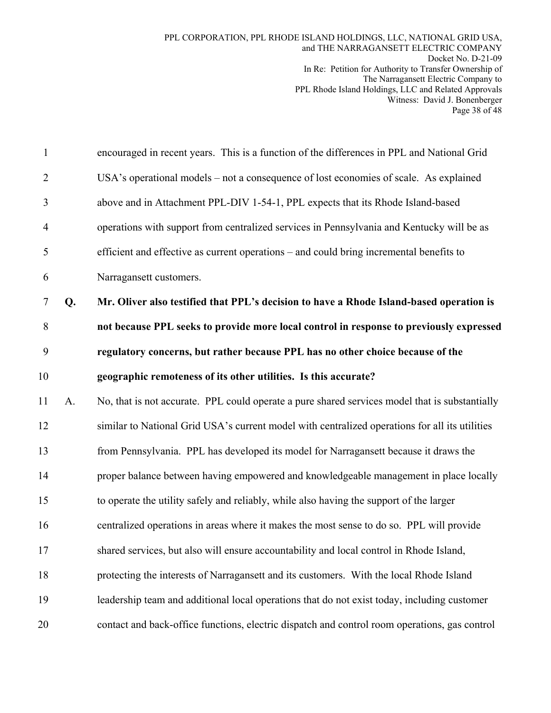| $\mathbf{1}$   |    | encouraged in recent years. This is a function of the differences in PPL and National Grid     |
|----------------|----|------------------------------------------------------------------------------------------------|
| $\overline{2}$ |    | USA's operational models – not a consequence of lost economies of scale. As explained          |
| 3              |    | above and in Attachment PPL-DIV 1-54-1, PPL expects that its Rhode Island-based                |
| 4              |    | operations with support from centralized services in Pennsylvania and Kentucky will be as      |
| 5              |    | efficient and effective as current operations – and could bring incremental benefits to        |
| 6              |    | Narragansett customers.                                                                        |
| $\tau$         | Q. | Mr. Oliver also testified that PPL's decision to have a Rhode Island-based operation is        |
| $\,8\,$        |    | not because PPL seeks to provide more local control in response to previously expressed        |
| 9              |    | regulatory concerns, but rather because PPL has no other choice because of the                 |
| 10             |    | geographic remoteness of its other utilities. Is this accurate?                                |
| 11             | A. | No, that is not accurate. PPL could operate a pure shared services model that is substantially |
| 12             |    | similar to National Grid USA's current model with centralized operations for all its utilities |
| 13             |    | from Pennsylvania. PPL has developed its model for Narragansett because it draws the           |
| 14             |    | proper balance between having empowered and knowledgeable management in place locally          |
| 15             |    | to operate the utility safely and reliably, while also having the support of the larger        |
| 16             |    | centralized operations in areas where it makes the most sense to do so. PPL will provide       |
| 17             |    | shared services, but also will ensure accountability and local control in Rhode Island,        |
| 18             |    | protecting the interests of Narragansett and its customers. With the local Rhode Island        |
| 19             |    | leadership team and additional local operations that do not exist today, including customer    |
| 20             |    | contact and back-office functions, electric dispatch and control room operations, gas control  |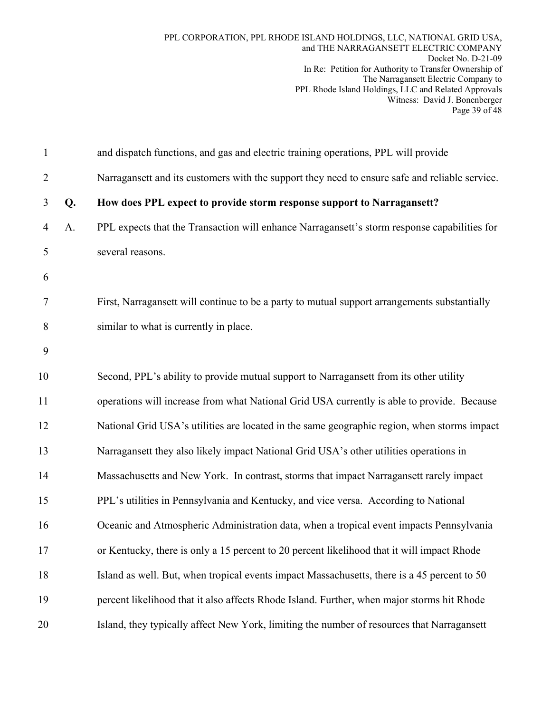| $\mathbf{1}$   |    | and dispatch functions, and gas and electric training operations, PPL will provide             |
|----------------|----|------------------------------------------------------------------------------------------------|
| $\overline{2}$ |    | Narragansett and its customers with the support they need to ensure safe and reliable service. |
| 3              | Q. | How does PPL expect to provide storm response support to Narragansett?                         |
| $\overline{4}$ | A. | PPL expects that the Transaction will enhance Narragansett's storm response capabilities for   |
| 5              |    | several reasons.                                                                               |
| 6              |    |                                                                                                |
| 7              |    | First, Narragansett will continue to be a party to mutual support arrangements substantially   |
| 8              |    | similar to what is currently in place.                                                         |
| 9              |    |                                                                                                |
| 10             |    | Second, PPL's ability to provide mutual support to Narragansett from its other utility         |
| 11             |    | operations will increase from what National Grid USA currently is able to provide. Because     |
| 12             |    | National Grid USA's utilities are located in the same geographic region, when storms impact    |
| 13             |    | Narragansett they also likely impact National Grid USA's other utilities operations in         |
| 14             |    | Massachusetts and New York. In contrast, storms that impact Narragansett rarely impact         |
| 15             |    | PPL's utilities in Pennsylvania and Kentucky, and vice versa. According to National            |
| 16             |    | Oceanic and Atmospheric Administration data, when a tropical event impacts Pennsylvania        |
| 17             |    | or Kentucky, there is only a 15 percent to 20 percent likelihood that it will impact Rhode     |
| 18             |    | Island as well. But, when tropical events impact Massachusetts, there is a 45 percent to 50    |
| 19             |    | percent likelihood that it also affects Rhode Island. Further, when major storms hit Rhode     |
| 20             |    | Island, they typically affect New York, limiting the number of resources that Narragansett     |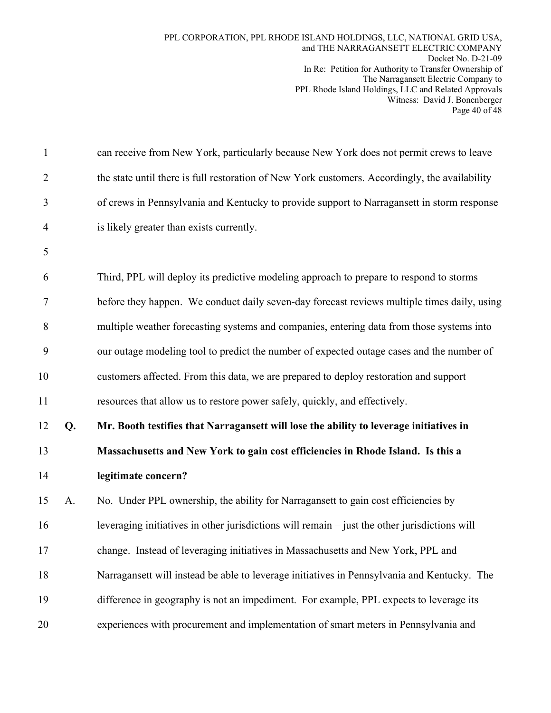| $\mathbf{1}$   |    | can receive from New York, particularly because New York does not permit crews to leave        |
|----------------|----|------------------------------------------------------------------------------------------------|
| $\overline{2}$ |    | the state until there is full restoration of New York customers. Accordingly, the availability |
| 3              |    | of crews in Pennsylvania and Kentucky to provide support to Narragansett in storm response     |
| $\overline{4}$ |    | is likely greater than exists currently.                                                       |
| 5              |    |                                                                                                |
| 6              |    | Third, PPL will deploy its predictive modeling approach to prepare to respond to storms        |
| 7              |    | before they happen. We conduct daily seven-day forecast reviews multiple times daily, using    |
| 8              |    | multiple weather forecasting systems and companies, entering data from those systems into      |
| 9              |    | our outage modeling tool to predict the number of expected outage cases and the number of      |
| 10             |    | customers affected. From this data, we are prepared to deploy restoration and support          |
| 11             |    | resources that allow us to restore power safely, quickly, and effectively.                     |
| 12             | Q. | Mr. Booth testifies that Narragansett will lose the ability to leverage initiatives in         |
| 13             |    | Massachusetts and New York to gain cost efficiencies in Rhode Island. Is this a                |
| 14             |    | legitimate concern?                                                                            |
| 15             | A. | No. Under PPL ownership, the ability for Narragansett to gain cost efficiencies by             |
| 16             |    | leveraging initiatives in other jurisdictions will remain - just the other jurisdictions will  |
| 17             |    | change. Instead of leveraging initiatives in Massachusetts and New York, PPL and               |
| 18             |    | Narragansett will instead be able to leverage initiatives in Pennsylvania and Kentucky. The    |
| 19             |    | difference in geography is not an impediment. For example, PPL expects to leverage its         |
| 20             |    | experiences with procurement and implementation of smart meters in Pennsylvania and            |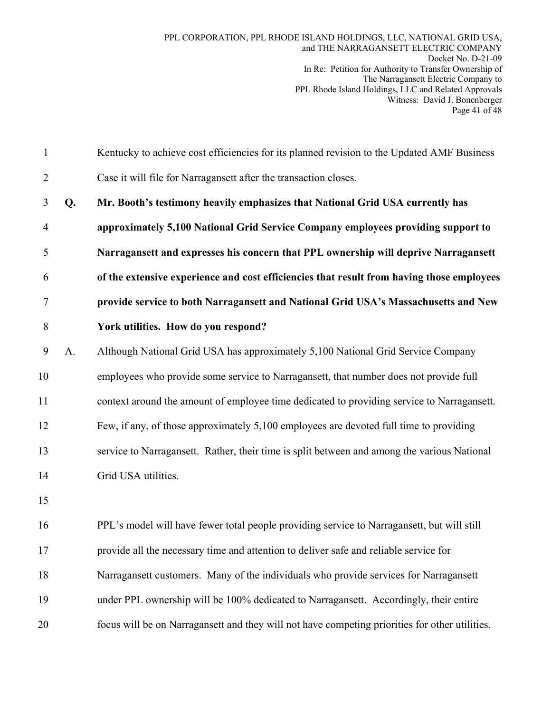| $\mathbf{1}$   |    | Kentucky to achieve cost efficiencies for its planned revision to the Updated AMF Business     |
|----------------|----|------------------------------------------------------------------------------------------------|
| $\overline{2}$ |    | Case it will file for Narragansett after the transaction closes.                               |
| 3              | Q. | Mr. Booth's testimony heavily emphasizes that National Grid USA currently has                  |
| $\overline{4}$ |    | approximately 5,100 National Grid Service Company employees providing support to               |
| 5              |    | Narragansett and expresses his concern that PPL ownership will deprive Narragansett            |
| 6              |    | of the extensive experience and cost efficiencies that result from having those employees      |
| 7              |    | provide service to both Narragansett and National Grid USA's Massachusetts and New             |
| 8              |    | York utilities. How do you respond?                                                            |
| 9              | A. | Although National Grid USA has approximately 5,100 National Grid Service Company               |
| 10             |    | employees who provide some service to Narragansett, that number does not provide full          |
| 11             |    | context around the amount of employee time dedicated to providing service to Narragansett.     |
| 12             |    | Few, if any, of those approximately 5,100 employees are devoted full time to providing         |
| 13             |    | service to Narragansett. Rather, their time is split between and among the various National    |
| 14             |    | Grid USA utilities.                                                                            |
| 15             |    |                                                                                                |
| 16             |    | PPL's model will have fewer total people providing service to Narragansett, but will still     |
| 17             |    | provide all the necessary time and attention to deliver safe and reliable service for          |
| 18             |    | Narragansett customers. Many of the individuals who provide services for Narragansett          |
| 19             |    | under PPL ownership will be 100% dedicated to Narragansett. Accordingly, their entire          |
| 20             |    | focus will be on Narragansett and they will not have competing priorities for other utilities. |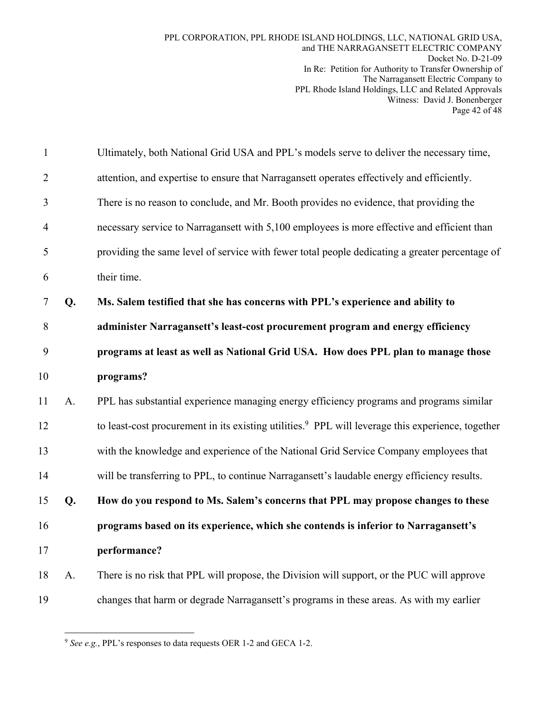| $\mathbf{1}$   |    | Ultimately, both National Grid USA and PPL's models serve to deliver the necessary time,                      |
|----------------|----|---------------------------------------------------------------------------------------------------------------|
| $\overline{2}$ |    | attention, and expertise to ensure that Narragansett operates effectively and efficiently.                    |
| 3              |    | There is no reason to conclude, and Mr. Booth provides no evidence, that providing the                        |
| 4              |    | necessary service to Narragansett with 5,100 employees is more effective and efficient than                   |
| 5              |    | providing the same level of service with fewer total people dedicating a greater percentage of                |
| 6              |    | their time.                                                                                                   |
| 7              | Q. | Ms. Salem testified that she has concerns with PPL's experience and ability to                                |
| 8              |    | administer Narragansett's least-cost procurement program and energy efficiency                                |
| 9              |    | programs at least as well as National Grid USA. How does PPL plan to manage those                             |
| 10             |    | programs?                                                                                                     |
| 11             | A. | PPL has substantial experience managing energy efficiency programs and programs similar                       |
| 12             |    | to least-cost procurement in its existing utilities. <sup>9</sup> PPL will leverage this experience, together |
| 13             |    | with the knowledge and experience of the National Grid Service Company employees that                         |
| 14             |    | will be transferring to PPL, to continue Narragansett's laudable energy efficiency results.                   |
| 15             | Q. | How do you respond to Ms. Salem's concerns that PPL may propose changes to these                              |
| 16             |    | programs based on its experience, which she contends is inferior to Narragansett's                            |
| 17             |    | performance?                                                                                                  |
| 18             | A. | There is no risk that PPL will propose, the Division will support, or the PUC will approve                    |
| 19             |    | changes that harm or degrade Narragansett's programs in these areas. As with my earlier                       |

 $\overline{a}$ <sup>9</sup> *See e.g.*, PPL's responses to data requests OER 1-2 and GECA 1-2.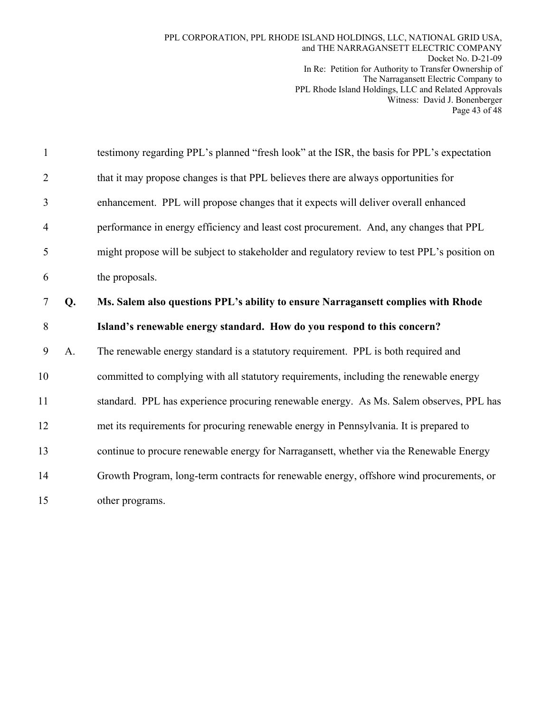| $\mathbf{1}$   |    | testimony regarding PPL's planned "fresh look" at the ISR, the basis for PPL's expectation   |
|----------------|----|----------------------------------------------------------------------------------------------|
| $\overline{2}$ |    | that it may propose changes is that PPL believes there are always opportunities for          |
| 3              |    | enhancement. PPL will propose changes that it expects will deliver overall enhanced          |
| 4              |    | performance in energy efficiency and least cost procurement. And, any changes that PPL       |
| 5              |    | might propose will be subject to stakeholder and regulatory review to test PPL's position on |
| 6              |    | the proposals.                                                                               |
| 7              | Q. | Ms. Salem also questions PPL's ability to ensure Narragansett complies with Rhode            |
| 8              |    | Island's renewable energy standard. How do you respond to this concern?                      |
| 9              | A. | The renewable energy standard is a statutory requirement. PPL is both required and           |
| 10             |    | committed to complying with all statutory requirements, including the renewable energy       |
| 11             |    | standard. PPL has experience procuring renewable energy. As Ms. Salem observes, PPL has      |
| 12             |    | met its requirements for procuring renewable energy in Pennsylvania. It is prepared to       |
| 13             |    | continue to procure renewable energy for Narragansett, whether via the Renewable Energy      |
| 14             |    | Growth Program, long-term contracts for renewable energy, offshore wind procurements, or     |
| 15             |    | other programs.                                                                              |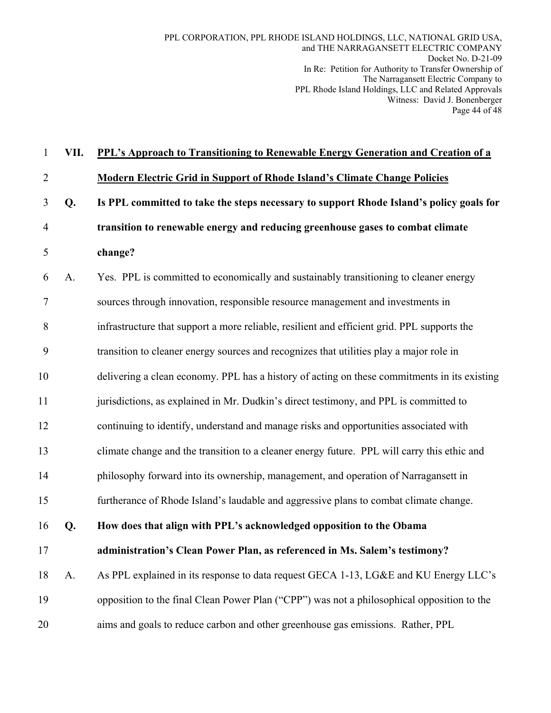| $\mathbf{1}$   | VII. | PPL's Approach to Transitioning to Renewable Energy Generation and Creation of a             |  |  |  |
|----------------|------|----------------------------------------------------------------------------------------------|--|--|--|
| $\overline{2}$ |      | <b>Modern Electric Grid in Support of Rhode Island's Climate Change Policies</b>             |  |  |  |
| 3              | Q.   | Is PPL committed to take the steps necessary to support Rhode Island's policy goals for      |  |  |  |
| 4              |      | transition to renewable energy and reducing greenhouse gases to combat climate               |  |  |  |
| 5              |      | change?                                                                                      |  |  |  |
| 6              | A.   | Yes. PPL is committed to economically and sustainably transitioning to cleaner energy        |  |  |  |
| 7              |      | sources through innovation, responsible resource management and investments in               |  |  |  |
| 8              |      | infrastructure that support a more reliable, resilient and efficient grid. PPL supports the  |  |  |  |
| 9              |      | transition to cleaner energy sources and recognizes that utilities play a major role in      |  |  |  |
| 10             |      | delivering a clean economy. PPL has a history of acting on these commitments in its existing |  |  |  |
| 11             |      | jurisdictions, as explained in Mr. Dudkin's direct testimony, and PPL is committed to        |  |  |  |
| 12             |      | continuing to identify, understand and manage risks and opportunities associated with        |  |  |  |
| 13             |      | climate change and the transition to a cleaner energy future. PPL will carry this ethic and  |  |  |  |
| 14             |      | philosophy forward into its ownership, management, and operation of Narragansett in          |  |  |  |
| 15             |      | furtherance of Rhode Island's laudable and aggressive plans to combat climate change.        |  |  |  |
| 16             | Q.   | How does that align with PPL's acknowledged opposition to the Obama                          |  |  |  |
| 17             |      | administration's Clean Power Plan, as referenced in Ms. Salem's testimony?                   |  |  |  |
| 18             | A.   | As PPL explained in its response to data request GECA 1-13, LG&E and KU Energy LLC's         |  |  |  |
| 19             |      | opposition to the final Clean Power Plan ("CPP") was not a philosophical opposition to the   |  |  |  |
| 20             |      | aims and goals to reduce carbon and other greenhouse gas emissions. Rather, PPL              |  |  |  |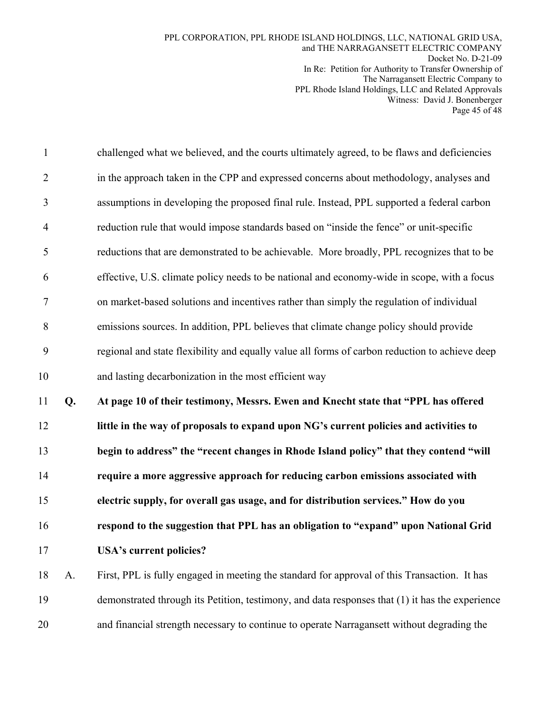| $\mathbf{1}$   |    | challenged what we believed, and the courts ultimately agreed, to be flaws and deficiencies     |
|----------------|----|-------------------------------------------------------------------------------------------------|
| $\overline{2}$ |    | in the approach taken in the CPP and expressed concerns about methodology, analyses and         |
| 3              |    | assumptions in developing the proposed final rule. Instead, PPL supported a federal carbon      |
| $\overline{4}$ |    | reduction rule that would impose standards based on "inside the fence" or unit-specific         |
| 5              |    | reductions that are demonstrated to be achievable. More broadly, PPL recognizes that to be      |
| 6              |    | effective, U.S. climate policy needs to be national and economy-wide in scope, with a focus     |
| 7              |    | on market-based solutions and incentives rather than simply the regulation of individual        |
| $8\,$          |    | emissions sources. In addition, PPL believes that climate change policy should provide          |
| 9              |    | regional and state flexibility and equally value all forms of carbon reduction to achieve deep  |
| 10             |    | and lasting decarbonization in the most efficient way                                           |
| 11             | Q. | At page 10 of their testimony, Messrs. Ewen and Knecht state that "PPL has offered              |
| 12             |    | little in the way of proposals to expand upon NG's current policies and activities to           |
| 13             |    | begin to address" the "recent changes in Rhode Island policy" that they contend "will           |
| 14             |    | require a more aggressive approach for reducing carbon emissions associated with                |
| 15             |    | electric supply, for overall gas usage, and for distribution services." How do you              |
|                |    |                                                                                                 |
| 16             |    | respond to the suggestion that PPL has an obligation to "expand" upon National Grid             |
| 17             |    | <b>USA's current policies?</b>                                                                  |
| 18             | A. | First, PPL is fully engaged in meeting the standard for approval of this Transaction. It has    |
| 19             |    | demonstrated through its Petition, testimony, and data responses that (1) it has the experience |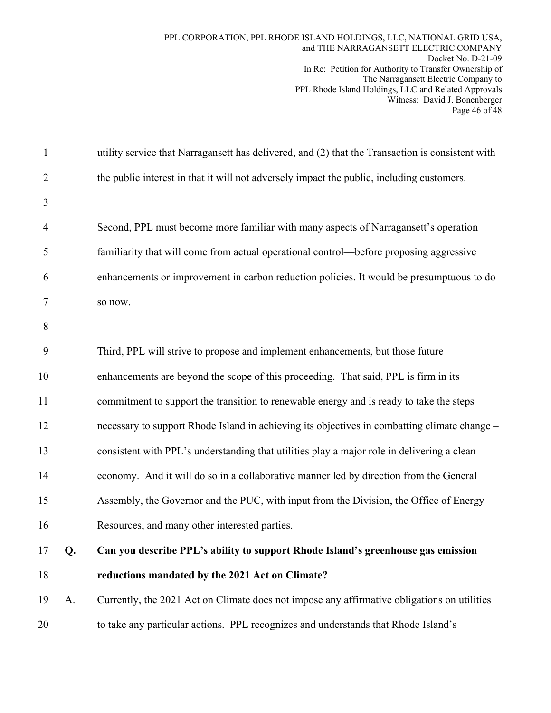| $\mathbf{1}$   |    | utility service that Narragansett has delivered, and (2) that the Transaction is consistent with |
|----------------|----|--------------------------------------------------------------------------------------------------|
| $\overline{2}$ |    | the public interest in that it will not adversely impact the public, including customers.        |
| 3              |    |                                                                                                  |
| $\overline{4}$ |    | Second, PPL must become more familiar with many aspects of Narragansett's operation-             |
| 5              |    | familiarity that will come from actual operational control-before proposing aggressive           |
| 6              |    | enhancements or improvement in carbon reduction policies. It would be presumptuous to do         |
| 7              |    | so now.                                                                                          |
| 8              |    |                                                                                                  |
| 9              |    | Third, PPL will strive to propose and implement enhancements, but those future                   |
| 10             |    | enhancements are beyond the scope of this proceeding. That said, PPL is firm in its              |
| 11             |    | commitment to support the transition to renewable energy and is ready to take the steps          |
| 12             |    | necessary to support Rhode Island in achieving its objectives in combatting climate change -     |
| 13             |    | consistent with PPL's understanding that utilities play a major role in delivering a clean       |
| 14             |    | economy. And it will do so in a collaborative manner led by direction from the General           |
| 15             |    | Assembly, the Governor and the PUC, with input from the Division, the Office of Energy           |
| 16             |    | Resources, and many other interested parties.                                                    |
| 17             | Q. | Can you describe PPL's ability to support Rhode Island's greenhouse gas emission                 |
| 18             |    | reductions mandated by the 2021 Act on Climate?                                                  |
| 19             | A. | Currently, the 2021 Act on Climate does not impose any affirmative obligations on utilities      |
| 20             |    | to take any particular actions. PPL recognizes and understands that Rhode Island's               |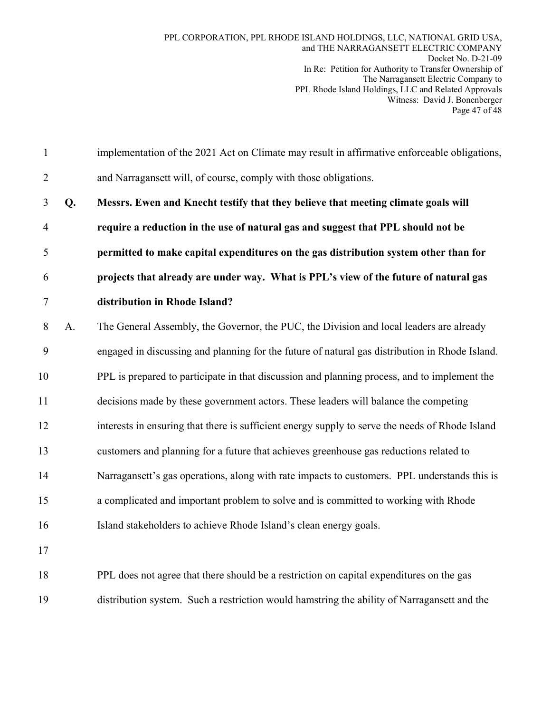1 implementation of the 2021 Act on Climate may result in affirmative enforceable obligations, 2 and Narragansett will, of course, comply with those obligations. 3 **Q. Messrs. Ewen and Knecht testify that they believe that meeting climate goals will**  4 **require a reduction in the use of natural gas and suggest that PPL should not be**  5 **permitted to make capital expenditures on the gas distribution system other than for**  6 **projects that already are under way. What is PPL's view of the future of natural gas**  7 **distribution in Rhode Island?**  8 A. The General Assembly, the Governor, the PUC, the Division and local leaders are already 9 engaged in discussing and planning for the future of natural gas distribution in Rhode Island. 10 PPL is prepared to participate in that discussion and planning process, and to implement the 11 decisions made by these government actors. These leaders will balance the competing 12 interests in ensuring that there is sufficient energy supply to serve the needs of Rhode Island 13 customers and planning for a future that achieves greenhouse gas reductions related to 14 Narragansett's gas operations, along with rate impacts to customers. PPL understands this is 15 a complicated and important problem to solve and is committed to working with Rhode 16 Island stakeholders to achieve Rhode Island's clean energy goals. 17 18 PPL does not agree that there should be a restriction on capital expenditures on the gas 19 distribution system. Such a restriction would hamstring the ability of Narragansett and the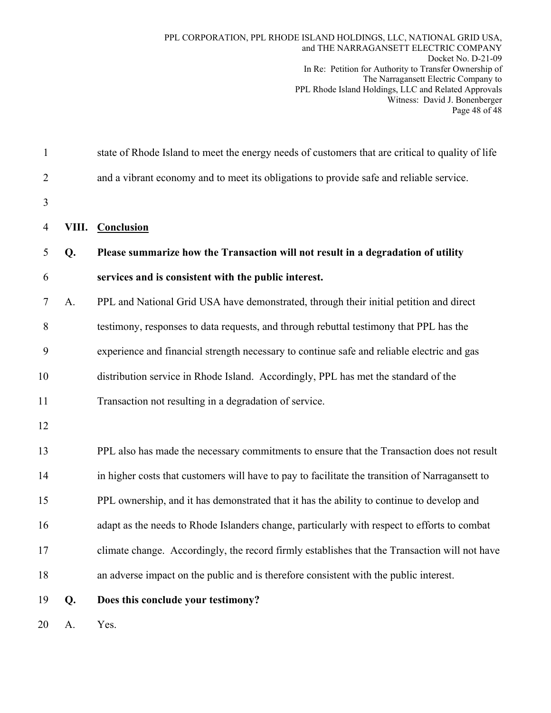| $\mathbf{1}$   |       | state of Rhode Island to meet the energy needs of customers that are critical to quality of life |
|----------------|-------|--------------------------------------------------------------------------------------------------|
| $\overline{2}$ |       | and a vibrant economy and to meet its obligations to provide safe and reliable service.          |
| 3              |       |                                                                                                  |
| 4              | VIII. | <b>Conclusion</b>                                                                                |
| 5              | Q.    | Please summarize how the Transaction will not result in a degradation of utility                 |
| 6              |       | services and is consistent with the public interest.                                             |
| 7              | A.    | PPL and National Grid USA have demonstrated, through their initial petition and direct           |
| 8              |       | testimony, responses to data requests, and through rebuttal testimony that PPL has the           |
| 9              |       | experience and financial strength necessary to continue safe and reliable electric and gas       |
| 10             |       | distribution service in Rhode Island. Accordingly, PPL has met the standard of the               |
| 11             |       | Transaction not resulting in a degradation of service.                                           |
| 12             |       |                                                                                                  |
| 13             |       | PPL also has made the necessary commitments to ensure that the Transaction does not result       |
| 14             |       | in higher costs that customers will have to pay to facilitate the transition of Narragansett to  |
| 15             |       | PPL ownership, and it has demonstrated that it has the ability to continue to develop and        |
| 16             |       | adapt as the needs to Rhode Islanders change, particularly with respect to efforts to combat     |
| 17             |       | climate change. Accordingly, the record firmly establishes that the Transaction will not have    |
| 18             |       | an adverse impact on the public and is therefore consistent with the public interest.            |
| 19             | Q.    | Does this conclude your testimony?                                                               |
| 20             | A.    | Yes.                                                                                             |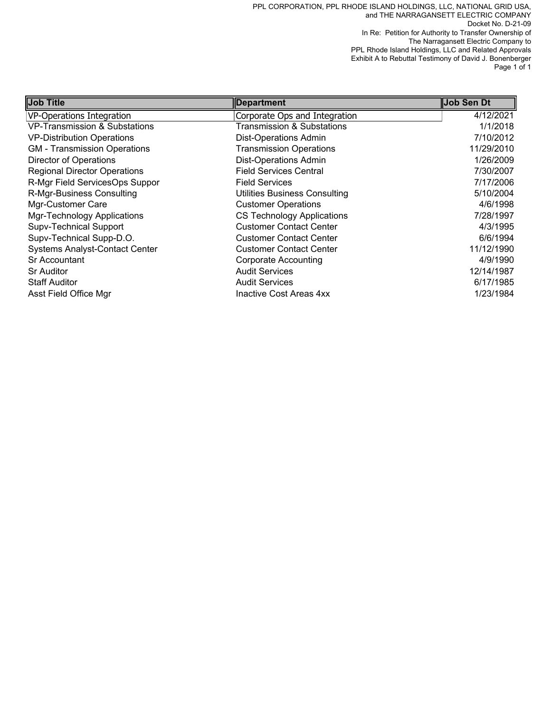PPL CORPORATION, PPL RHODE ISLAND HOLDINGS, LLC, NATIONAL GRID USA, and THE NARRAGANSETT ELECTRIC COMPANY Docket No. D-21-09 In Re: Petition for Authority to Transfer Ownership of The Narragansett Electric Company to PPL Rhode Island Holdings, LLC and Related Approvals Exhibit A to Rebuttal Testimony of David J. Bonenberger Page 1 of 1

| <b>Job Title</b>                      | <b>Department</b>                    | Job Sen Dt |
|---------------------------------------|--------------------------------------|------------|
| VP-Operations Integration             | Corporate Ops and Integration        | 4/12/2021  |
| VP-Transmission & Substations         | Transmission & Substations           | 1/1/2018   |
| <b>VP-Distribution Operations</b>     | <b>Dist-Operations Admin</b>         | 7/10/2012  |
| <b>GM</b> - Transmission Operations   | <b>Transmission Operations</b>       | 11/29/2010 |
| Director of Operations                | <b>Dist-Operations Admin</b>         | 1/26/2009  |
| <b>Regional Director Operations</b>   | <b>Field Services Central</b>        | 7/30/2007  |
| R-Mgr Field ServicesOps Suppor        | <b>Field Services</b>                | 7/17/2006  |
| R-Mgr-Business Consulting             | <b>Utilities Business Consulting</b> | 5/10/2004  |
| Mgr-Customer Care                     | <b>Customer Operations</b>           | 4/6/1998   |
| Mgr-Technology Applications           | <b>CS Technology Applications</b>    | 7/28/1997  |
| <b>Supv-Technical Support</b>         | <b>Customer Contact Center</b>       | 4/3/1995   |
| Supv-Technical Supp-D.O.              | <b>Customer Contact Center</b>       | 6/6/1994   |
| <b>Systems Analyst-Contact Center</b> | <b>Customer Contact Center</b>       | 11/12/1990 |
| Sr Accountant                         | <b>Corporate Accounting</b>          | 4/9/1990   |
| <b>Sr Auditor</b>                     | <b>Audit Services</b>                | 12/14/1987 |
| <b>Staff Auditor</b>                  | <b>Audit Services</b>                | 6/17/1985  |
| Asst Field Office Mgr                 | Inactive Cost Areas 4xx              | 1/23/1984  |